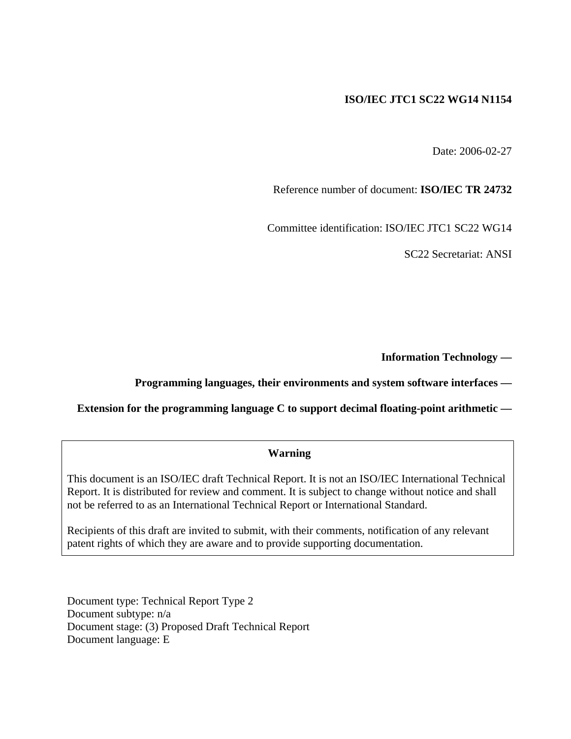#### **ISO/IEC JTC1 SC22 WG14 N1154**

Date: 2006-02-27

Reference number of document: **ISO/IEC TR 24732** 

Committee identification: ISO/IEC JTC1 SC22 WG14

SC22 Secretariat: ANSI

**Information Technology —** 

#### **Programming languages, their environments and system software interfaces —**

**Extension for the programming language C to support decimal floating-point arithmetic —** 

#### **Warning**

This document is an ISO/IEC draft Technical Report. It is not an ISO/IEC International Technical Report. It is distributed for review and comment. It is subject to change without notice and shall not be referred to as an International Technical Report or International Standard.

Recipients of this draft are invited to submit, with their comments, notification of any relevant patent rights of which they are aware and to provide supporting documentation.

Document type: Technical Report Type 2 Document subtype: n/a Document stage: (3) Proposed Draft Technical Report Document language: E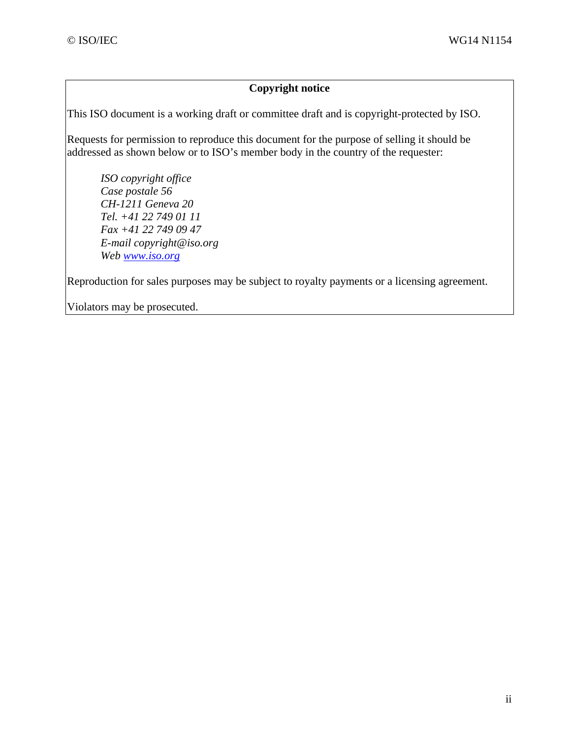#### **Copyright notice**

This ISO document is a working draft or committee draft and is copyright-protected by ISO.

Requests for permission to reproduce this document for the purpose of selling it should be addressed as shown below or to ISO's member body in the country of the requester:

*ISO copyright office Case postale 56 CH-1211 Geneva 20 Tel. +41 22 749 01 11 Fax +41 22 749 09 47 E-mail copyright@iso.org Web www.iso.org*

Reproduction for sales purposes may be subject to royalty payments or a licensing agreement.

Violators may be prosecuted.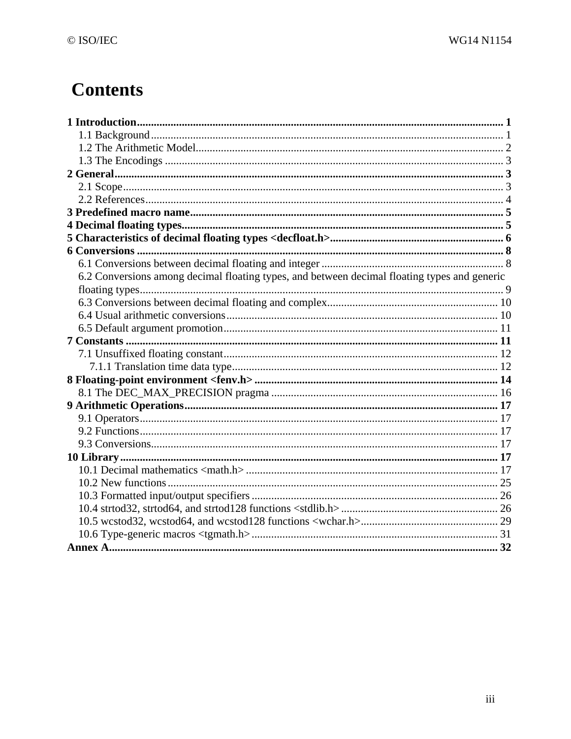# **Contents**

| 6.2 Conversions among decimal floating types, and between decimal floating types and generic |  |
|----------------------------------------------------------------------------------------------|--|
|                                                                                              |  |
|                                                                                              |  |
|                                                                                              |  |
|                                                                                              |  |
|                                                                                              |  |
|                                                                                              |  |
|                                                                                              |  |
|                                                                                              |  |
|                                                                                              |  |
|                                                                                              |  |
|                                                                                              |  |
|                                                                                              |  |
|                                                                                              |  |
|                                                                                              |  |
|                                                                                              |  |
|                                                                                              |  |
|                                                                                              |  |
|                                                                                              |  |
|                                                                                              |  |
|                                                                                              |  |
|                                                                                              |  |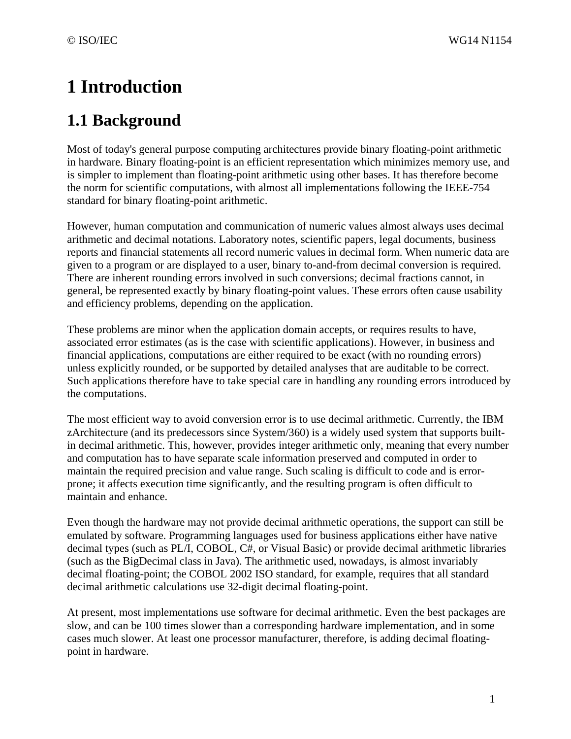# **1 Introduction**

# **1.1 Background**

Most of today's general purpose computing architectures provide binary floating-point arithmetic in hardware. Binary floating-point is an efficient representation which minimizes memory use, and is simpler to implement than floating-point arithmetic using other bases. It has therefore become the norm for scientific computations, with almost all implementations following the IEEE-754 standard for binary floating-point arithmetic.

However, human computation and communication of numeric values almost always uses decimal arithmetic and decimal notations. Laboratory notes, scientific papers, legal documents, business reports and financial statements all record numeric values in decimal form. When numeric data are given to a program or are displayed to a user, binary to-and-from decimal conversion is required. There are inherent rounding errors involved in such conversions; decimal fractions cannot, in general, be represented exactly by binary floating-point values. These errors often cause usability and efficiency problems, depending on the application.

These problems are minor when the application domain accepts, or requires results to have, associated error estimates (as is the case with scientific applications). However, in business and financial applications, computations are either required to be exact (with no rounding errors) unless explicitly rounded, or be supported by detailed analyses that are auditable to be correct. Such applications therefore have to take special care in handling any rounding errors introduced by the computations.

The most efficient way to avoid conversion error is to use decimal arithmetic. Currently, the IBM zArchitecture (and its predecessors since System/360) is a widely used system that supports builtin decimal arithmetic. This, however, provides integer arithmetic only, meaning that every number and computation has to have separate scale information preserved and computed in order to maintain the required precision and value range. Such scaling is difficult to code and is errorprone; it affects execution time significantly, and the resulting program is often difficult to maintain and enhance.

Even though the hardware may not provide decimal arithmetic operations, the support can still be emulated by software. Programming languages used for business applications either have native decimal types (such as PL/I, COBOL, C#, or Visual Basic) or provide decimal arithmetic libraries (such as the BigDecimal class in Java). The arithmetic used, nowadays, is almost invariably decimal floating-point; the COBOL 2002 ISO standard, for example, requires that all standard decimal arithmetic calculations use 32-digit decimal floating-point.

At present, most implementations use software for decimal arithmetic. Even the best packages are slow, and can be 100 times slower than a corresponding hardware implementation, and in some cases much slower. At least one processor manufacturer, therefore, is adding decimal floatingpoint in hardware.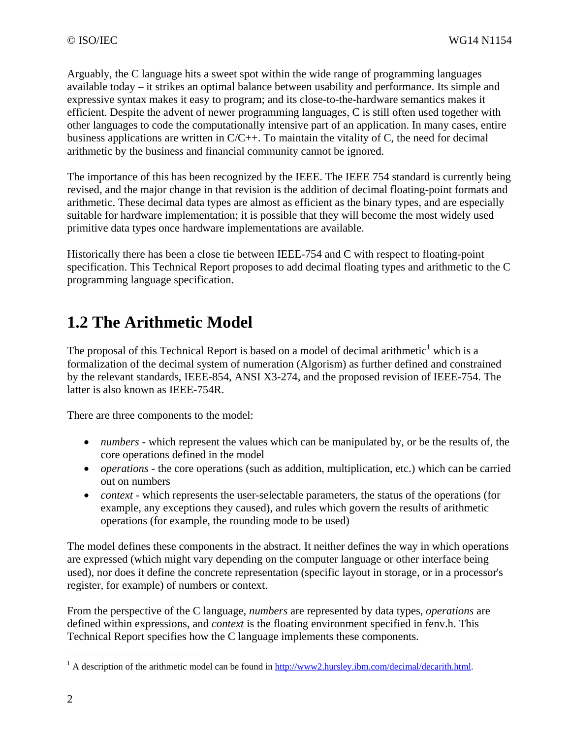Arguably, the C language hits a sweet spot within the wide range of programming languages available today – it strikes an optimal balance between usability and performance. Its simple and expressive syntax makes it easy to program; and its close-to-the-hardware semantics makes it efficient. Despite the advent of newer programming languages, C is still often used together with other languages to code the computationally intensive part of an application. In many cases, entire business applications are written in C/C++. To maintain the vitality of C, the need for decimal arithmetic by the business and financial community cannot be ignored.

The importance of this has been recognized by the IEEE. The IEEE 754 standard is currently being revised, and the major change in that revision is the addition of decimal floating-point formats and arithmetic. These decimal data types are almost as efficient as the binary types, and are especially suitable for hardware implementation; it is possible that they will become the most widely used primitive data types once hardware implementations are available.

Historically there has been a close tie between IEEE-754 and C with respect to floating-point specification. This Technical Report proposes to add decimal floating types and arithmetic to the C programming language specification.

## **1.2 The Arithmetic Model**

The proposal of this Technical Report is based on a model of decimal arithmetic<sup>1</sup> which is a formalization of the decimal system of numeration (Algorism) as further defined and constrained by the relevant standards, IEEE-854, ANSI X3-274, and the proposed revision of IEEE-754. The latter is also known as IEEE-754R.

There are three components to the model:

- *numbers* which represent the values which can be manipulated by, or be the results of, the core operations defined in the model
- *operations* the core operations (such as addition, multiplication, etc.) which can be carried out on numbers
- *context* which represents the user-selectable parameters, the status of the operations (for example, any exceptions they caused), and rules which govern the results of arithmetic operations (for example, the rounding mode to be used)

The model defines these components in the abstract. It neither defines the way in which operations are expressed (which might vary depending on the computer language or other interface being used), nor does it define the concrete representation (specific layout in storage, or in a processor's register, for example) of numbers or context.

From the perspective of the C language, *numbers* are represented by data types, *operations* are defined within expressions, and *context* is the floating environment specified in fenv.h. This Technical Report specifies how the C language implements these components.

<u>.</u>

<sup>&</sup>lt;sup>1</sup> A description of the arithmetic model can be found in  $\frac{http://www2.hursley.ibm.com/decimal/decimal.html.}{}$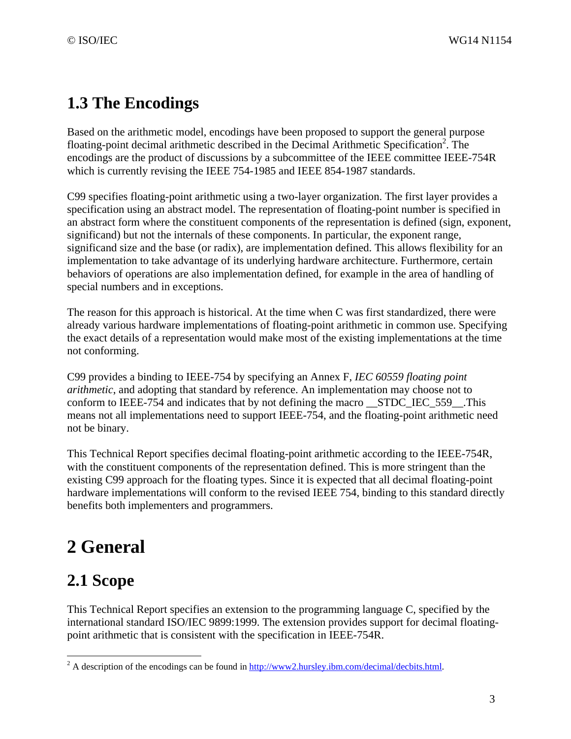## **1.3 The Encodings**

Based on the arithmetic model, encodings have been proposed to support the general purpose floating-point decimal arithmetic described in the Decimal Arithmetic Specification<sup>2</sup>. The encodings are the product of discussions by a subcommittee of the IEEE committee IEEE-754R which is currently revising the IEEE 754-1985 and IEEE 854-1987 standards.

C99 specifies floating-point arithmetic using a two-layer organization. The first layer provides a specification using an abstract model. The representation of floating-point number is specified in an abstract form where the constituent components of the representation is defined (sign, exponent, significand) but not the internals of these components. In particular, the exponent range, significand size and the base (or radix), are implementation defined. This allows flexibility for an implementation to take advantage of its underlying hardware architecture. Furthermore, certain behaviors of operations are also implementation defined, for example in the area of handling of special numbers and in exceptions.

The reason for this approach is historical. At the time when C was first standardized, there were already various hardware implementations of floating-point arithmetic in common use. Specifying the exact details of a representation would make most of the existing implementations at the time not conforming.

C99 provides a binding to IEEE-754 by specifying an Annex F, *IEC 60559 floating point arithmetic*, and adopting that standard by reference. An implementation may choose not to conform to IEEE-754 and indicates that by not defining the macro \_\_STDC\_IEC\_559\_\_.This means not all implementations need to support IEEE-754, and the floating-point arithmetic need not be binary.

This Technical Report specifies decimal floating-point arithmetic according to the IEEE-754R, with the constituent components of the representation defined. This is more stringent than the existing C99 approach for the floating types. Since it is expected that all decimal floating-point hardware implementations will conform to the revised IEEE 754, binding to this standard directly benefits both implementers and programmers.

# **2 General**

# **2.1 Scope**

 $\overline{a}$ 

This Technical Report specifies an extension to the programming language C, specified by the international standard ISO/IEC 9899:1999. The extension provides support for decimal floatingpoint arithmetic that is consistent with the specification in IEEE-754R.

<sup>&</sup>lt;sup>2</sup> A description of the encodings can be found in  $\frac{http://www2.hursley.ibm.com/decimal/decbits.html.$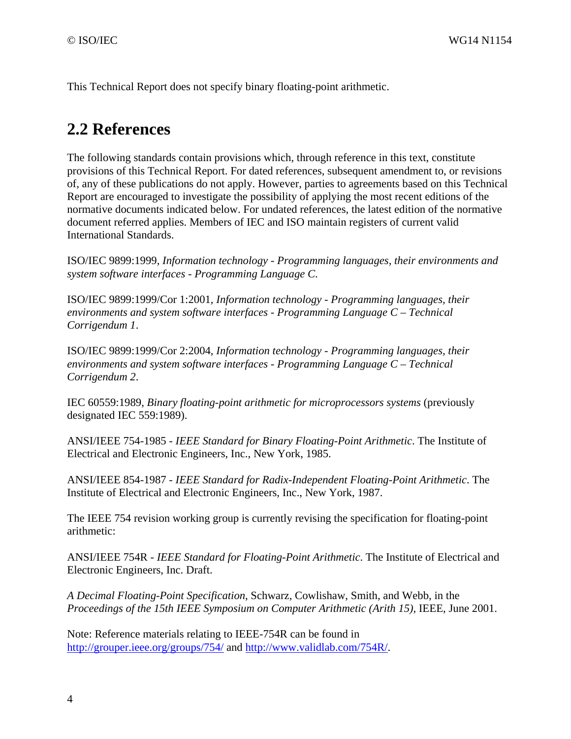This Technical Report does not specify binary floating-point arithmetic.

### **2.2 References**

The following standards contain provisions which, through reference in this text, constitute provisions of this Technical Report. For dated references, subsequent amendment to, or revisions of, any of these publications do not apply. However, parties to agreements based on this Technical Report are encouraged to investigate the possibility of applying the most recent editions of the normative documents indicated below. For undated references, the latest edition of the normative document referred applies. Members of IEC and ISO maintain registers of current valid International Standards.

ISO/IEC 9899:1999, *Information technology - Programming languages, their environments and system software interfaces - Programming Language C*.

ISO/IEC 9899:1999/Cor 1:2001, *Information technology - Programming languages, their environments and system software interfaces - Programming Language C – Technical Corrigendum 1*.

ISO/IEC 9899:1999/Cor 2:2004, *Information technology - Programming languages, their environments and system software interfaces - Programming Language C – Technical Corrigendum 2*.

IEC 60559:1989, *Binary floating-point arithmetic for microprocessors systems* (previously designated IEC 559:1989).

ANSI/IEEE 754-1985 - *IEEE Standard for Binary Floating-Point Arithmetic*. The Institute of Electrical and Electronic Engineers, Inc., New York, 1985.

ANSI/IEEE 854-1987 - *IEEE Standard for Radix-Independent Floating-Point Arithmetic*. The Institute of Electrical and Electronic Engineers, Inc., New York, 1987.

The IEEE 754 revision working group is currently revising the specification for floating-point arithmetic:

ANSI/IEEE 754R - *IEEE Standard for Floating-Point Arithmetic*. The Institute of Electrical and Electronic Engineers, Inc. Draft.

*A Decimal Floating-Point Specification*, Schwarz, Cowlishaw, Smith, and Webb, in the *Proceedings of the 15th IEEE Symposium on Computer Arithmetic (Arith 15),* IEEE, June 2001.

Note: Reference materials relating to IEEE-754R can be found in http://grouper.ieee.org/groups/754/ and http://www.validlab.com/754R/.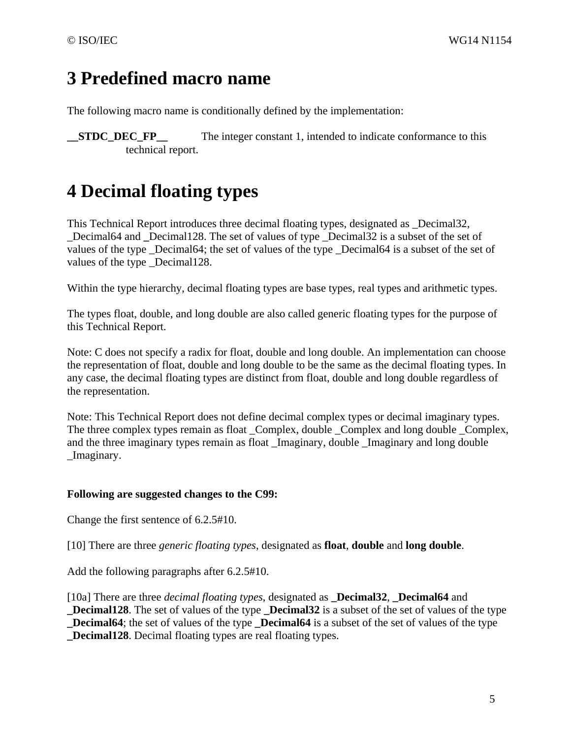## **3 Predefined macro name**

The following macro name is conditionally defined by the implementation:

**\_\_STDC\_DEC\_FP\_** The integer constant 1, intended to indicate conformance to this technical report.

# **4 Decimal floating types**

This Technical Report introduces three decimal floating types, designated as \_Decimal32, Decimal64 and Decimal128. The set of values of type Decimal32 is a subset of the set of values of the type \_Decimal64; the set of values of the type \_Decimal64 is a subset of the set of values of the type Decimal128.

Within the type hierarchy, decimal floating types are base types, real types and arithmetic types.

The types float, double, and long double are also called generic floating types for the purpose of this Technical Report.

Note: C does not specify a radix for float, double and long double. An implementation can choose the representation of float, double and long double to be the same as the decimal floating types. In any case, the decimal floating types are distinct from float, double and long double regardless of the representation.

Note: This Technical Report does not define decimal complex types or decimal imaginary types. The three complex types remain as float \_Complex, double \_Complex and long double \_Complex, and the three imaginary types remain as float \_Imaginary, double \_Imaginary and long double \_Imaginary.

#### **Following are suggested changes to the C99:**

Change the first sentence of 6.2.5#10.

[10] There are three *generic floating types*, designated as **float**, **double** and **long double**.

Add the following paragraphs after 6.2.5#10.

[10a] There are three *decimal floating types*, designated as **\_Decimal32**, **\_Decimal64** and **\_Decimal128**. The set of values of the type **\_Decimal32** is a subset of the set of values of the type **Decimal64**; the set of values of the type **Decimal64** is a subset of the set of values of the type **\_Decimal128**. Decimal floating types are real floating types.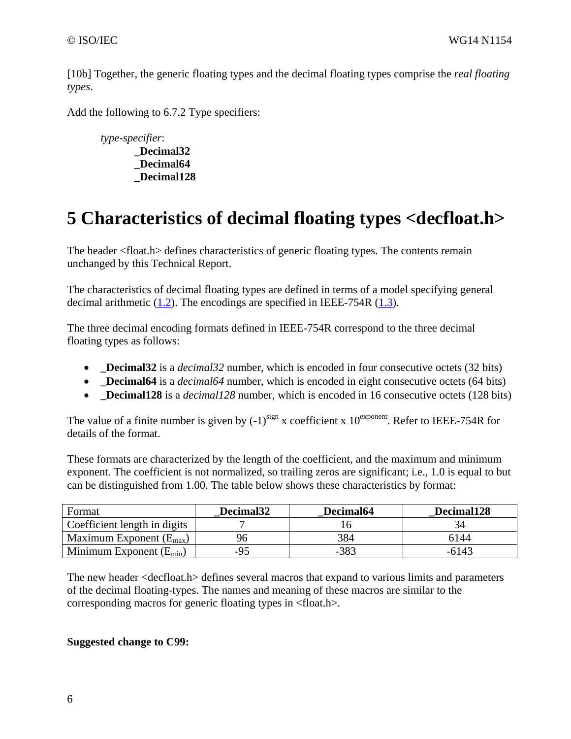[10b] Together, the generic floating types and the decimal floating types comprise the *real floating types*.

Add the following to 6.7.2 Type specifiers:

*type-specifier*: **\_Decimal32 \_Decimal64 \_Decimal128** 

# **5 Characteristics of decimal floating types <decfloat.h>**

The header <float.h> defines characteristics of generic floating types. The contents remain unchanged by this Technical Report.

The characteristics of decimal floating types are defined in terms of a model specifying general decimal arithmetic (1.2). The encodings are specified in IEEE-754R (1.3).

The three decimal encoding formats defined in IEEE-754R correspond to the three decimal floating types as follows:

- **\_Decimal32** is a *decimal32* number, which is encoded in four consecutive octets (32 bits)
- **Decimal64** is a *decimal64* number, which is encoded in eight consecutive octets (64 bits)
- **Decimal128** is a *decimal128* number, which is encoded in 16 consecutive octets (128 bits)

The value of a finite number is given by  $(-1)^{sign}$  x coefficient x  $10^{exponent}$ . Refer to IEEE-754R for details of the format.

These formats are characterized by the length of the coefficient, and the maximum and minimum exponent. The coefficient is not normalized, so trailing zeros are significant; i.e., 1.0 is equal to but can be distinguished from 1.00. The table below shows these characteristics by format:

| Format                              | Decimal <sub>32</sub> | Decimal64 | Decimal128 |
|-------------------------------------|-----------------------|-----------|------------|
| Coefficient length in digits        |                       |           |            |
| Maximum Exponent $(E_{\text{max}})$ |                       | 384       | 6144       |
| Minimum Exponent $(E_{min})$        | $-95$                 | $-383$    | -6143      |

The new header <decfloat.h> defines several macros that expand to various limits and parameters of the decimal floating-types. The names and meaning of these macros are similar to the corresponding macros for generic floating types in <float.h>.

#### **Suggested change to C99:**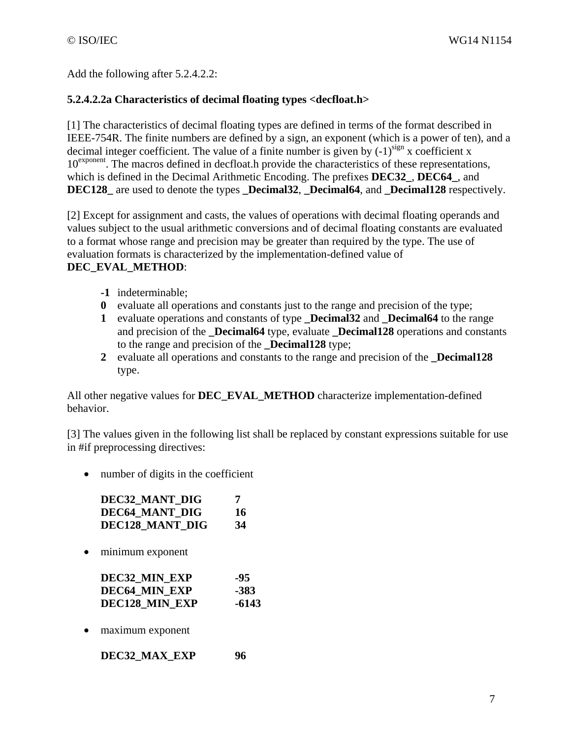Add the following after 5.2.4.2.2:

#### **5.2.4.2.2a Characteristics of decimal floating types <decfloat.h>**

[1] The characteristics of decimal floating types are defined in terms of the format described in IEEE-754R. The finite numbers are defined by a sign, an exponent (which is a power of ten), and a decimal integer coefficient. The value of a finite number is given by  $(-1)^{sign}$  x coefficient x 10<sup>exponent</sup>. The macros defined in decfloat.h provide the characteristics of these representations, which is defined in the Decimal Arithmetic Encoding. The prefixes **DEC32\_**, **DEC64\_**, and **DEC128\_** are used to denote the types **\_Decimal32**, **\_Decimal64**, and **\_Decimal128** respectively.

[2] Except for assignment and casts, the values of operations with decimal floating operands and values subject to the usual arithmetic conversions and of decimal floating constants are evaluated to a format whose range and precision may be greater than required by the type. The use of evaluation formats is characterized by the implementation-defined value of

#### **DEC\_EVAL\_METHOD**:

- **-1** indeterminable;
- **0** evaluate all operations and constants just to the range and precision of the type;
- **1** evaluate operations and constants of type **\_Decimal32** and **\_Decimal64** to the range and precision of the **\_Decimal64** type, evaluate **\_Decimal128** operations and constants to the range and precision of the **Decimal128** type;
- **2** evaluate all operations and constants to the range and precision of the **\_Decimal128** type.

All other negative values for **DEC\_EVAL\_METHOD** characterize implementation-defined behavior.

[3] The values given in the following list shall be replaced by constant expressions suitable for use in #if preprocessing directives:

• number of digits in the coefficient

| DEC32 MANT DIG  | 7  |
|-----------------|----|
| DEC64 MANT DIG  | 16 |
| DEC128 MANT DIG | 34 |

• minimum exponent

| DEC32 MIN EXP  | -95   |
|----------------|-------|
| DEC64 MIN EXP  | -383  |
| DEC128 MIN EXP | -6143 |

• maximum exponent

**DEC32\_MAX\_EXP 96**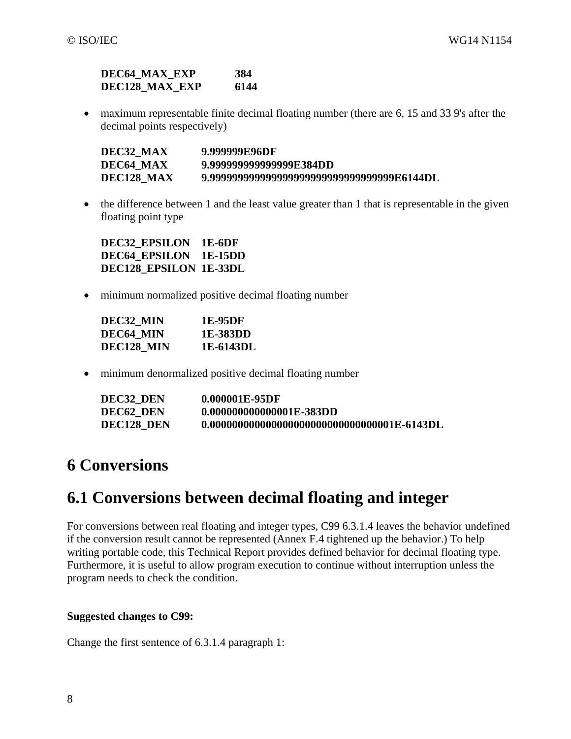#### **DEC64\_MAX\_EXP 384 DEC128\_MAX\_EXP 6144**

• maximum representable finite decimal floating number (there are 6, 15 and 33 9's after the decimal points respectively)

| DEC32 MAX  | 9.999999E96DF                               |
|------------|---------------------------------------------|
| DEC64 MAX  | 9.999999999999999F.384DD                    |
| DEC128 MAX | 9.9999999999999999999999999999999999F6144DL |

• the difference between 1 and the least value greater than 1 that is representable in the given floating point type

**DEC32\_EPSILON 1E-6DF DEC64\_EPSILON 1E-15DD DEC128\_EPSILON 1E-33DL**

• minimum normalized positive decimal floating number

| DEC32 MIN  | 1E-95DF   |
|------------|-----------|
| DEC64 MIN  | 1E-383DD  |
| DEC128 MIN | 1E-6143DL |

• minimum denormalized positive decimal floating number

| DEC32 DEN  | 0.000001E-95DF            |
|------------|---------------------------|
| DEC62 DEN  | 0.0000000000000001E-383DD |
| DEC128 DEN |                           |

### **6 Conversions**

### **6.1 Conversions between decimal floating and integer**

For conversions between real floating and integer types, C99 6.3.1.4 leaves the behavior undefined if the conversion result cannot be represented (Annex F.4 tightened up the behavior.) To help writing portable code, this Technical Report provides defined behavior for decimal floating type. Furthermore, it is useful to allow program execution to continue without interruption unless the program needs to check the condition.

#### **Suggested changes to C99:**

Change the first sentence of 6.3.1.4 paragraph 1: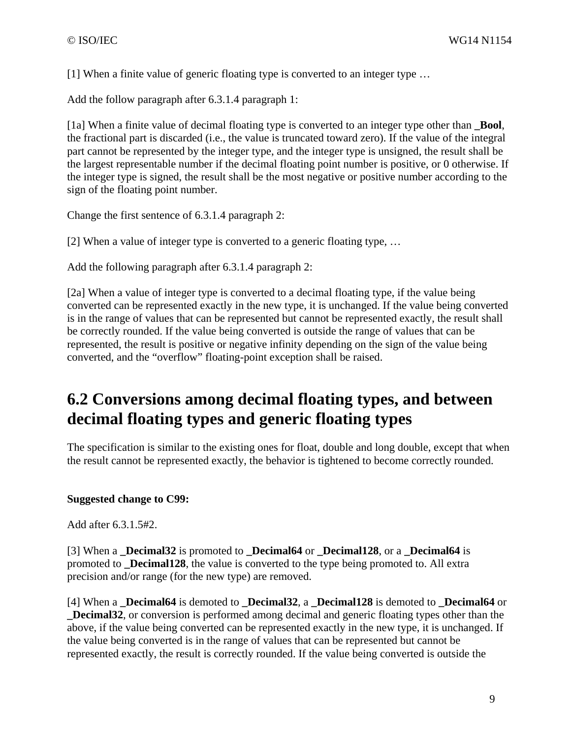[1] When a finite value of generic floating type is converted to an integer type …

Add the follow paragraph after 6.3.1.4 paragraph 1:

[1a] When a finite value of decimal floating type is converted to an integer type other than **\_Bool**, the fractional part is discarded (i.e., the value is truncated toward zero). If the value of the integral part cannot be represented by the integer type, and the integer type is unsigned, the result shall be the largest representable number if the decimal floating point number is positive, or 0 otherwise. If the integer type is signed, the result shall be the most negative or positive number according to the sign of the floating point number.

Change the first sentence of 6.3.1.4 paragraph 2:

[2] When a value of integer type is converted to a generic floating type, …

Add the following paragraph after 6.3.1.4 paragraph 2:

[2a] When a value of integer type is converted to a decimal floating type, if the value being converted can be represented exactly in the new type, it is unchanged. If the value being converted is in the range of values that can be represented but cannot be represented exactly, the result shall be correctly rounded. If the value being converted is outside the range of values that can be represented, the result is positive or negative infinity depending on the sign of the value being converted, and the "overflow" floating-point exception shall be raised.

### **6.2 Conversions among decimal floating types, and between decimal floating types and generic floating types**

The specification is similar to the existing ones for float, double and long double, except that when the result cannot be represented exactly, the behavior is tightened to become correctly rounded.

#### **Suggested change to C99:**

Add after 6.3.1.5#2.

[3] When a **Decimal32** is promoted to **Decimal64** or **Decimal128**, or a **Decimal64** is promoted to **\_Decimal128**, the value is converted to the type being promoted to. All extra precision and/or range (for the new type) are removed.

[4] When a **\_Decimal64** is demoted to **\_Decimal32**, a **\_Decimal128** is demoted to **\_Decimal64** or **\_Decimal32**, or conversion is performed among decimal and generic floating types other than the above, if the value being converted can be represented exactly in the new type, it is unchanged. If the value being converted is in the range of values that can be represented but cannot be represented exactly, the result is correctly rounded. If the value being converted is outside the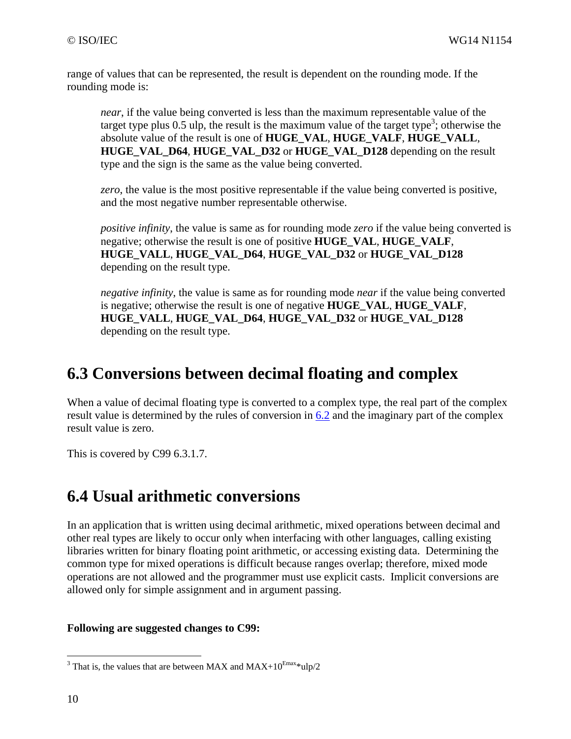range of values that can be represented, the result is dependent on the rounding mode. If the rounding mode is:

*near*, if the value being converted is less than the maximum representable value of the target type plus 0.5 ulp, the result is the maximum value of the target type<sup>3</sup>; otherwise the absolute value of the result is one of **HUGE\_VAL**, **HUGE\_VALF**, **HUGE\_VALL**, **HUGE\_VAL\_D64**, **HUGE\_VAL\_D32** or **HUGE\_VAL\_D128** depending on the result type and the sign is the same as the value being converted.

*zero*, the value is the most positive representable if the value being converted is positive, and the most negative number representable otherwise.

*positive infinity*, the value is same as for rounding mode *zero* if the value being converted is negative; otherwise the result is one of positive **HUGE\_VAL**, **HUGE\_VALF**, **HUGE\_VALL**, **HUGE\_VAL\_D64**, **HUGE\_VAL\_D32** or **HUGE\_VAL\_D128** depending on the result type.

*negative infinity*, the value is same as for rounding mode *near* if the value being converted is negative; otherwise the result is one of negative **HUGE\_VAL**, **HUGE\_VALF**, **HUGE\_VALL**, **HUGE\_VAL\_D64**, **HUGE\_VAL\_D32** or **HUGE\_VAL\_D128** depending on the result type.

### **6.3 Conversions between decimal floating and complex**

When a value of decimal floating type is converted to a complex type, the real part of the complex result value is determined by the rules of conversion in 6.2 and the imaginary part of the complex result value is zero.

This is covered by C99 6.3.1.7.

### **6.4 Usual arithmetic conversions**

In an application that is written using decimal arithmetic, mixed operations between decimal and other real types are likely to occur only when interfacing with other languages, calling existing libraries written for binary floating point arithmetic, or accessing existing data. Determining the common type for mixed operations is difficult because ranges overlap; therefore, mixed mode operations are not allowed and the programmer must use explicit casts. Implicit conversions are allowed only for simple assignment and in argument passing.

#### **Following are suggested changes to C99:**

 $\overline{a}$ 

<sup>&</sup>lt;sup>3</sup> That is, the values that are between MAX and MAX+10<sup>Emax\*</sup>ulp/2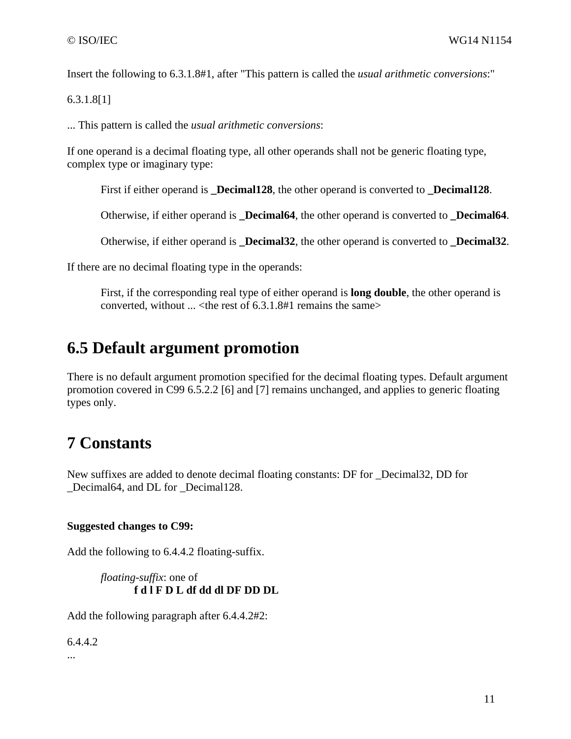Insert the following to 6.3.1.8#1, after "This pattern is called the *usual arithmetic conversions*:"

6.3.1.8[1]

... This pattern is called the *usual arithmetic conversions*:

If one operand is a decimal floating type, all other operands shall not be generic floating type, complex type or imaginary type:

First if either operand is **\_Decimal128**, the other operand is converted to **\_Decimal128**.

Otherwise, if either operand is **\_Decimal64**, the other operand is converted to **\_Decimal64**.

Otherwise, if either operand is **\_Decimal32**, the other operand is converted to **\_Decimal32**.

If there are no decimal floating type in the operands:

First, if the corresponding real type of either operand is **long double**, the other operand is converted, without  $\ldots$  < the rest of 6.3.1.8#1 remains the same  $>$ 

### **6.5 Default argument promotion**

There is no default argument promotion specified for the decimal floating types. Default argument promotion covered in C99 6.5.2.2 [6] and [7] remains unchanged, and applies to generic floating types only.

### **7 Constants**

New suffixes are added to denote decimal floating constants: DF for \_Decimal32, DD for \_Decimal64, and DL for \_Decimal128.

#### **Suggested changes to C99:**

Add the following to 6.4.4.2 floating-suffix.

*floating-suffix*: one of **f d l F D L df dd dl DF DD DL** 

Add the following paragraph after 6.4.4.2#2:

6.4.4.2

...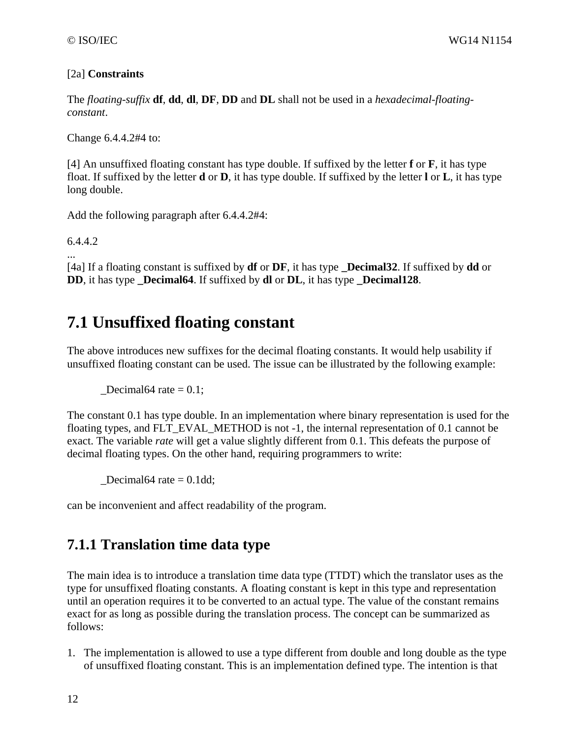#### [2a] **Constraints**

The *floating-suffix* **df**, **dd**, **dl**, **DF**, **DD** and **DL** shall not be used in a *hexadecimal-floatingconstant*.

Change 6.4.4.2#4 to:

[4] An unsuffixed floating constant has type double. If suffixed by the letter **f** or **F**, it has type float. If suffixed by the letter **d** or **D**, it has type double. If suffixed by the letter **l** or **L**, it has type long double.

Add the following paragraph after 6.4.4.2#4:

6.4.4.2

...

[4a] If a floating constant is suffixed by **df** or **DF**, it has type **\_Decimal32**. If suffixed by **dd** or **DD**, it has type **Decimal64**. If suffixed by **dl** or **DL**, it has type **Decimal128**.

### **7.1 Unsuffixed floating constant**

The above introduces new suffixes for the decimal floating constants. It would help usability if unsuffixed floating constant can be used. The issue can be illustrated by the following example:

Decimal64 rate  $= 0.1$ ;

The constant 0.1 has type double. In an implementation where binary representation is used for the floating types, and FLT\_EVAL\_METHOD is not -1, the internal representation of 0.1 cannot be exact. The variable *rate* will get a value slightly different from 0.1. This defeats the purpose of decimal floating types. On the other hand, requiring programmers to write:

Decimal64 rate  $= 0.1$ dd;

can be inconvenient and affect readability of the program.

### **7.1.1 Translation time data type**

The main idea is to introduce a translation time data type (TTDT) which the translator uses as the type for unsuffixed floating constants. A floating constant is kept in this type and representation until an operation requires it to be converted to an actual type. The value of the constant remains exact for as long as possible during the translation process. The concept can be summarized as follows:

1. The implementation is allowed to use a type different from double and long double as the type of unsuffixed floating constant. This is an implementation defined type. The intention is that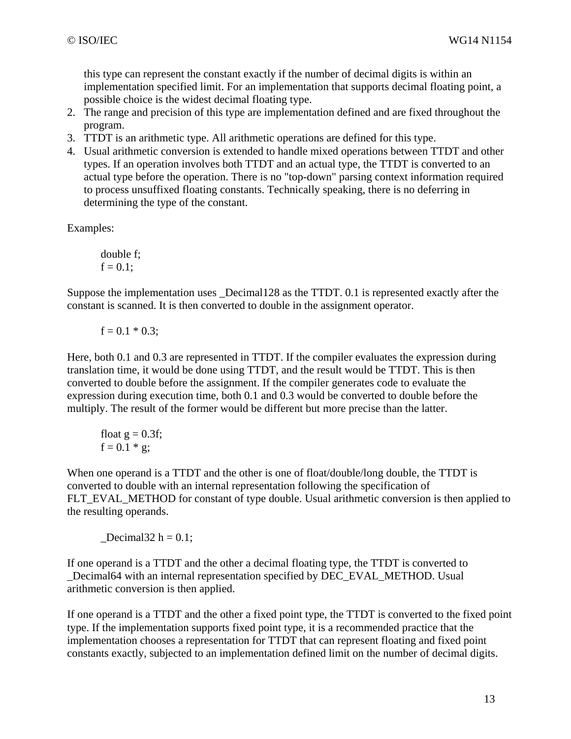this type can represent the constant exactly if the number of decimal digits is within an implementation specified limit. For an implementation that supports decimal floating point, a possible choice is the widest decimal floating type.

- 2. The range and precision of this type are implementation defined and are fixed throughout the program.
- 3. TTDT is an arithmetic type. All arithmetic operations are defined for this type.
- 4. Usual arithmetic conversion is extended to handle mixed operations between TTDT and other types. If an operation involves both TTDT and an actual type, the TTDT is converted to an actual type before the operation. There is no "top-down" parsing context information required to process unsuffixed floating constants. Technically speaking, there is no deferring in determining the type of the constant.

Examples:

double f;  $f = 0.1$ ;

Suppose the implementation uses \_Decimal128 as the TTDT. 0.1 is represented exactly after the constant is scanned. It is then converted to double in the assignment operator.

 $f = 0.1 * 0.3;$ 

Here, both 0.1 and 0.3 are represented in TTDT. If the compiler evaluates the expression during translation time, it would be done using TTDT, and the result would be TTDT. This is then converted to double before the assignment. If the compiler generates code to evaluate the expression during execution time, both 0.1 and 0.3 would be converted to double before the multiply. The result of the former would be different but more precise than the latter.

float 
$$
g = 0.3f
$$
;  
  $f = 0.1 * g$ ;

When one operand is a TTDT and the other is one of float/double/long double, the TTDT is converted to double with an internal representation following the specification of FLT\_EVAL\_METHOD for constant of type double. Usual arithmetic conversion is then applied to the resulting operands.

 $\textcolor{red}{\text{Decimal32}}\,h=0.1;$ 

If one operand is a TTDT and the other a decimal floating type, the TTDT is converted to Decimal64 with an internal representation specified by DEC\_EVAL\_METHOD. Usual arithmetic conversion is then applied.

If one operand is a TTDT and the other a fixed point type, the TTDT is converted to the fixed point type. If the implementation supports fixed point type, it is a recommended practice that the implementation chooses a representation for TTDT that can represent floating and fixed point constants exactly, subjected to an implementation defined limit on the number of decimal digits.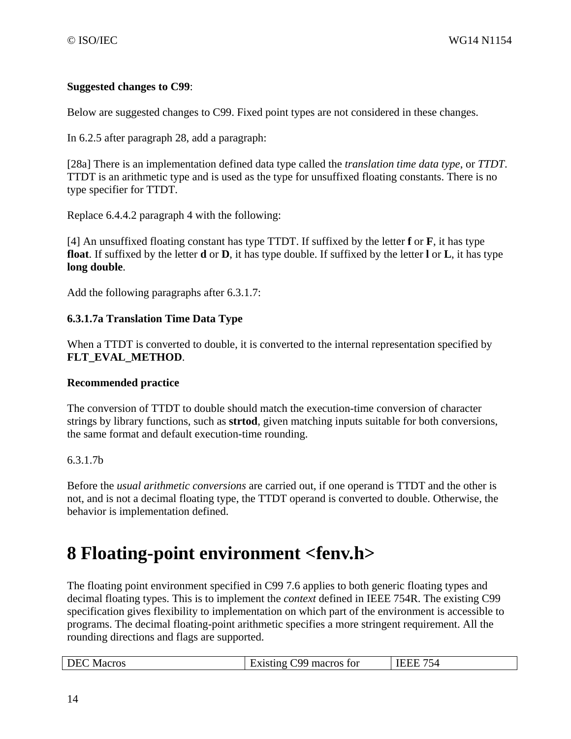#### **Suggested changes to C99**:

Below are suggested changes to C99. Fixed point types are not considered in these changes.

In 6.2.5 after paragraph 28, add a paragraph:

[28a] There is an implementation defined data type called the *translation time data type*, or *TTDT*. TTDT is an arithmetic type and is used as the type for unsuffixed floating constants. There is no type specifier for TTDT.

Replace 6.4.4.2 paragraph 4 with the following:

[4] An unsuffixed floating constant has type TTDT. If suffixed by the letter **f** or **F**, it has type **float**. If suffixed by the letter **d** or **D**, it has type double. If suffixed by the letter **l** or **L**, it has type **long double**.

Add the following paragraphs after 6.3.1.7:

#### **6.3.1.7a Translation Time Data Type**

When a TTDT is converted to double, it is converted to the internal representation specified by **FLT\_EVAL\_METHOD**.

#### **Recommended practice**

The conversion of TTDT to double should match the execution-time conversion of character strings by library functions, such as **strtod**, given matching inputs suitable for both conversions, the same format and default execution-time rounding.

#### 6.3.1.7b

Before the *usual arithmetic conversions* are carried out, if one operand is TTDT and the other is not, and is not a decimal floating type, the TTDT operand is converted to double. Otherwise, the behavior is implementation defined.

# **8 Floating-point environment <fenv.h>**

The floating point environment specified in C99 7.6 applies to both generic floating types and decimal floating types. This is to implement the *context* defined in IEEE 754R. The existing C99 specification gives flexibility to implementation on which part of the environment is accessible to programs. The decimal floating-point arithmetic specifies a more stringent requirement. All the rounding directions and flags are supported.

|  | <b>DEC</b> Macros | Existing C99 macros for | <b>IEEE 754</b> |
|--|-------------------|-------------------------|-----------------|
|--|-------------------|-------------------------|-----------------|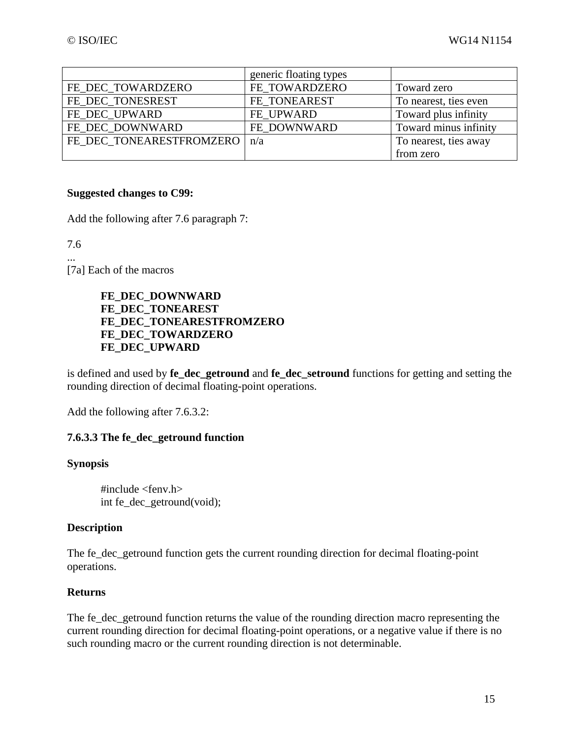|                          | generic floating types |                       |
|--------------------------|------------------------|-----------------------|
| FE DEC TOWARDZERO        | FE_TOWARDZERO          | Toward zero           |
| FE DEC TONESREST         | FE TONEAREST           | To nearest, ties even |
| FE_DEC_UPWARD            | FE UPWARD              | Toward plus infinity  |
| FE DEC DOWNWARD          | FE DOWNWARD            | Toward minus infinity |
| FE DEC TONEARESTFROMZERO | n/a                    | To nearest, ties away |
|                          |                        | from zero             |

#### **Suggested changes to C99:**

Add the following after 7.6 paragraph 7:

7.6

... [7a] Each of the macros

> **FE\_DEC\_DOWNWARD FE\_DEC\_TONEAREST FE\_DEC\_TONEARESTFROMZERO FE\_DEC\_TOWARDZERO FE\_DEC\_UPWARD**

is defined and used by **fe\_dec\_getround** and **fe\_dec\_setround** functions for getting and setting the rounding direction of decimal floating-point operations.

Add the following after 7.6.3.2:

#### **7.6.3.3 The fe\_dec\_getround function**

#### **Synopsis**

#include <fenv.h> int fe\_dec\_getround(void);

#### **Description**

The fe\_dec\_getround function gets the current rounding direction for decimal floating-point operations.

#### **Returns**

The fe dec getround function returns the value of the rounding direction macro representing the current rounding direction for decimal floating-point operations, or a negative value if there is no such rounding macro or the current rounding direction is not determinable.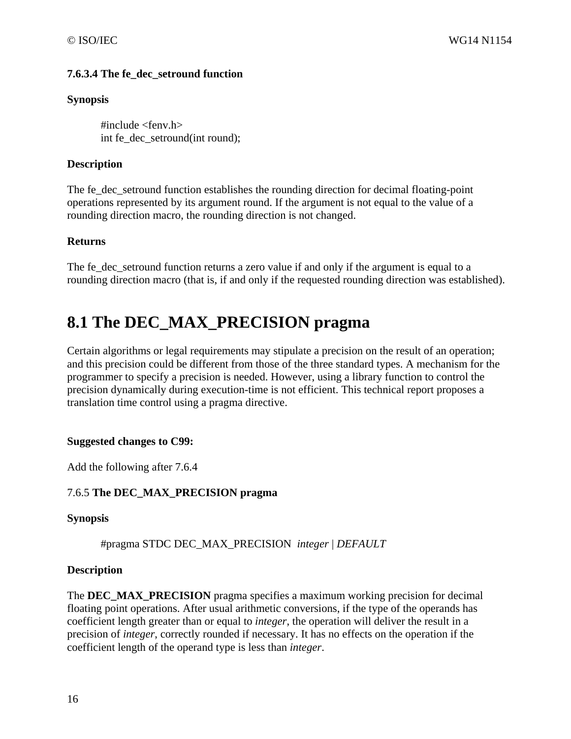#### **7.6.3.4 The fe\_dec\_setround function**

#### **Synopsis**

 $\#$ include <feny.h> int fe\_dec\_setround(int round);

#### **Description**

The fe\_dec\_setround function establishes the rounding direction for decimal floating-point operations represented by its argument round. If the argument is not equal to the value of a rounding direction macro, the rounding direction is not changed.

#### **Returns**

The fe\_dec\_setround function returns a zero value if and only if the argument is equal to a rounding direction macro (that is, if and only if the requested rounding direction was established).

## **8.1 The DEC\_MAX\_PRECISION pragma**

Certain algorithms or legal requirements may stipulate a precision on the result of an operation; and this precision could be different from those of the three standard types. A mechanism for the programmer to specify a precision is needed. However, using a library function to control the precision dynamically during execution-time is not efficient. This technical report proposes a translation time control using a pragma directive.

#### **Suggested changes to C99:**

Add the following after 7.6.4

#### 7.6.5 **The DEC\_MAX\_PRECISION pragma**

#### **Synopsis**

#pragma STDC DEC\_MAX\_PRECISION *integer* | *DEFAULT*

#### **Description**

The **DEC\_MAX\_PRECISION** pragma specifies a maximum working precision for decimal floating point operations. After usual arithmetic conversions, if the type of the operands has coefficient length greater than or equal to *integer*, the operation will deliver the result in a precision of *integer*, correctly rounded if necessary. It has no effects on the operation if the coefficient length of the operand type is less than *integer*.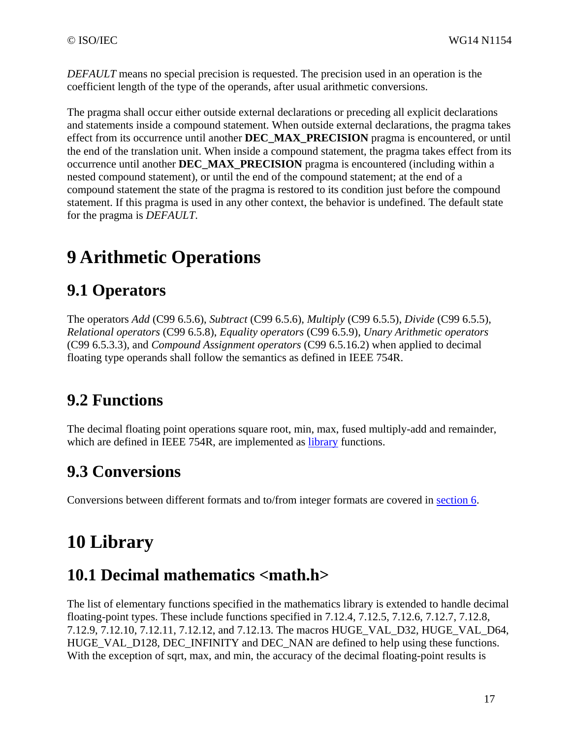*DEFAULT* means no special precision is requested. The precision used in an operation is the coefficient length of the type of the operands, after usual arithmetic conversions.

The pragma shall occur either outside external declarations or preceding all explicit declarations and statements inside a compound statement. When outside external declarations, the pragma takes effect from its occurrence until another **DEC\_MAX\_PRECISION** pragma is encountered, or until the end of the translation unit. When inside a compound statement, the pragma takes effect from its occurrence until another **DEC\_MAX\_PRECISION** pragma is encountered (including within a nested compound statement), or until the end of the compound statement; at the end of a compound statement the state of the pragma is restored to its condition just before the compound statement. If this pragma is used in any other context, the behavior is undefined. The default state for the pragma is *DEFAULT*.

# **9 Arithmetic Operations**

# **9.1 Operators**

The operators *Add* (C99 6.5.6), *Subtract* (C99 6.5.6), *Multiply* (C99 6.5.5), *Divide* (C99 6.5.5), *Relational operators* (C99 6.5.8), *Equality operators* (C99 6.5.9), *Unary Arithmetic operators* (C99 6.5.3.3), and *Compound Assignment operators* (C99 6.5.16.2) when applied to decimal floating type operands shall follow the semantics as defined in IEEE 754R.

# **9.2 Functions**

The decimal floating point operations square root, min, max, fused multiply-add and remainder, which are defined in IEEE 754R, are implemented as library functions.

## **9.3 Conversions**

Conversions between different formats and to/from integer formats are covered in section 6.

# **10 Library**

# **10.1 Decimal mathematics <math.h>**

The list of elementary functions specified in the mathematics library is extended to handle decimal floating-point types. These include functions specified in 7.12.4, 7.12.5, 7.12.6, 7.12.7, 7.12.8, 7.12.9, 7.12.10, 7.12.11, 7.12.12, and 7.12.13. The macros HUGE\_VAL\_D32, HUGE\_VAL\_D64, HUGE\_VAL\_D128, DEC\_INFINITY and DEC\_NAN are defined to help using these functions. With the exception of sqrt, max, and min, the accuracy of the decimal floating-point results is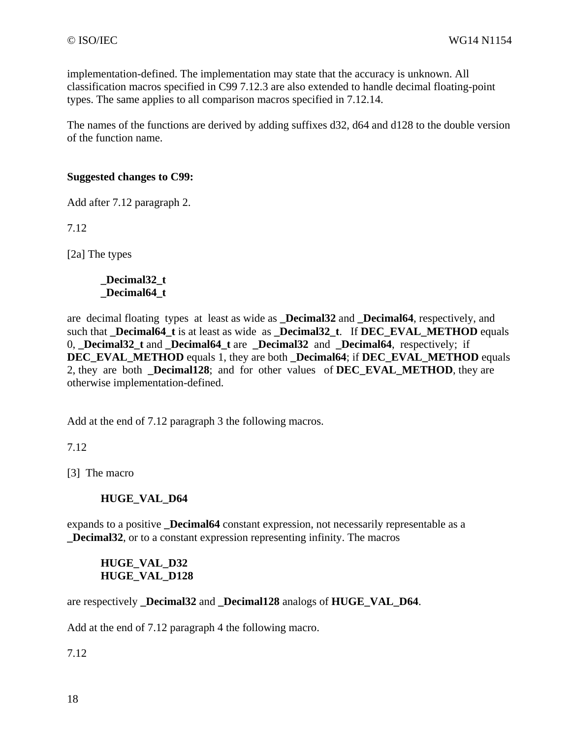implementation-defined. The implementation may state that the accuracy is unknown. All classification macros specified in C99 7.12.3 are also extended to handle decimal floating-point types. The same applies to all comparison macros specified in 7.12.14.

The names of the functions are derived by adding suffixes d32, d64 and d128 to the double version of the function name.

#### **Suggested changes to C99:**

Add after 7.12 paragraph 2.

7.12

[2a] The types

#### **\_Decimal32\_t \_Decimal64\_t**

are decimal floating types at least as wide as **\_Decimal32** and **\_Decimal64**, respectively, and such that **\_Decimal64\_t** is at least as wide as **\_Decimal32\_t**. If **DEC\_EVAL\_METHOD** equals 0, **\_Decimal32\_t** and **\_Decimal64\_t** are **\_Decimal32** and **\_Decimal64**, respectively; if **DEC\_EVAL\_METHOD** equals 1, they are both **\_Decimal64**; if **DEC\_EVAL\_METHOD** equals 2, they are both **Decimal128**; and for other values of **DEC** EVAL **METHOD**, they are otherwise implementation-defined.

Add at the end of 7.12 paragraph 3 the following macros.

7.12

[3] The macro

#### **HUGE\_VAL\_D64**

expands to a positive **\_Decimal64** constant expression, not necessarily representable as a **\_Decimal32**, or to a constant expression representing infinity. The macros

#### **HUGE\_VAL\_D32 HUGE\_VAL\_D128**

are respectively **Decimal32** and **Decimal128** analogs of **HUGE** VAL D64.

Add at the end of 7.12 paragraph 4 the following macro.

7.12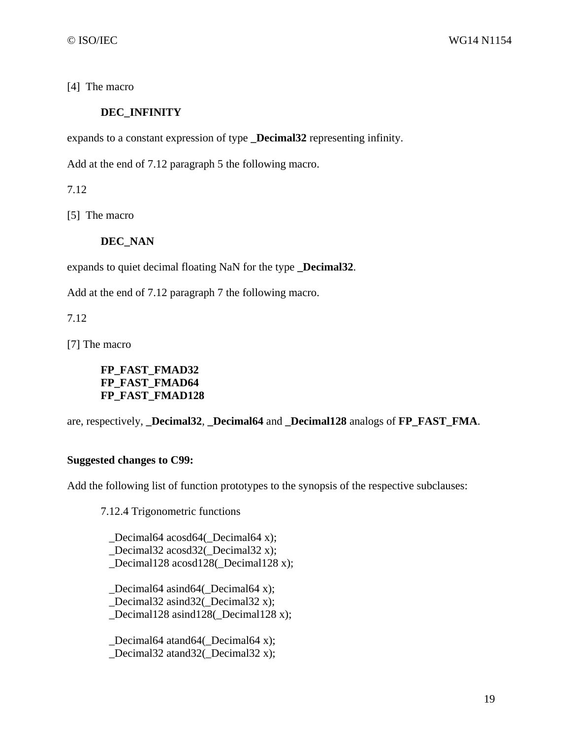[4] The macro

#### **DEC\_INFINITY**

expands to a constant expression of type **\_Decimal32** representing infinity.

Add at the end of 7.12 paragraph 5 the following macro.

7.12

[5] The macro

#### **DEC\_NAN**

expands to quiet decimal floating NaN for the type **\_Decimal32**.

Add at the end of 7.12 paragraph 7 the following macro.

7.12

[7] The macro

**FP\_FAST\_FMAD32 FP\_FAST\_FMAD64 FP\_FAST\_FMAD128** 

are, respectively, **Decimal32**, **Decimal64** and **Decimal128** analogs of **FP FAST FMA**.

#### **Suggested changes to C99:**

Add the following list of function prototypes to the synopsis of the respective subclauses:

7.12.4 Trigonometric functions

 \_Decimal64 acosd64(\_Decimal64 x); Decimal32 acosd32( Decimal32 x); \_Decimal128 acosd128(\_Decimal128 x);

 \_Decimal64 asind64(\_Decimal64 x); \_Decimal32 asind32(\_Decimal32 x); \_Decimal128 asind128(\_Decimal128 x);

 \_Decimal64 atand64(\_Decimal64 x); \_Decimal32 atand32(\_Decimal32 x);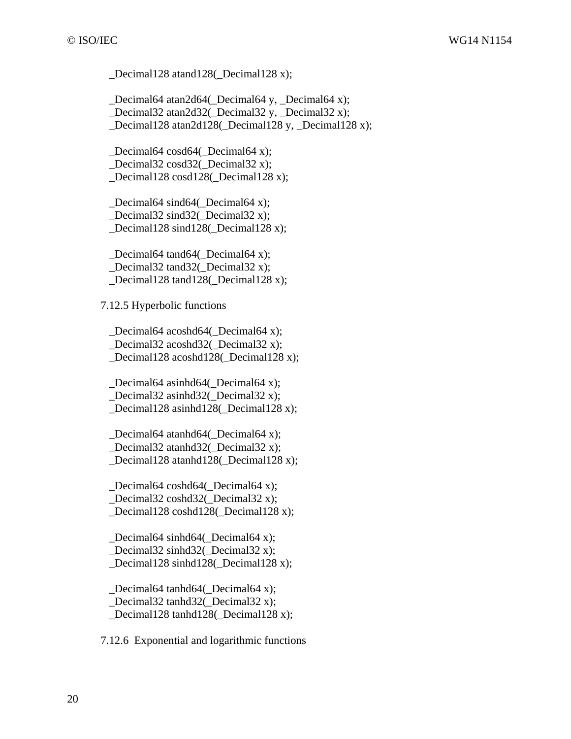\_Decimal128 atand128(\_Decimal128 x);

 \_Decimal64 atan2d64(\_Decimal64 y, \_Decimal64 x); \_Decimal32 atan2d32(\_Decimal32 y, \_Decimal32 x); Decimal128 atan2d128( Decimal128 y, Decimal128 x);

Decimal64 cosd64( $\Delta$ Decimal64 x); \_Decimal32 cosd32(\_Decimal32 x); \_Decimal128 cosd128(\_Decimal128 x);

 \_Decimal64 sind64(\_Decimal64 x); \_Decimal32 sind32(\_Decimal32 x); \_Decimal128 sind128(\_Decimal128 x);

 \_Decimal64 tand64(\_Decimal64 x); \_Decimal32 tand32(\_Decimal32 x); Decimal128 tand128( Decimal128 x);

7.12.5 Hyperbolic functions

 \_Decimal64 acoshd64(\_Decimal64 x); Decimal32 acoshd32( Decimal32 x); \_Decimal128 acoshd128(\_Decimal128 x);

 \_Decimal64 asinhd64(\_Decimal64 x); \_Decimal32 asinhd32(\_Decimal32 x); \_Decimal128 asinhd128(\_Decimal128 x);

 \_Decimal64 atanhd64(\_Decimal64 x); Decimal32 atanhd32( Decimal32 x); \_Decimal128 atanhd128(\_Decimal128 x);

 \_Decimal64 coshd64(\_Decimal64 x); Decimal32 coshd32( Decimal32 x); \_Decimal128 coshd128(\_Decimal128 x);

 \_Decimal64 sinhd64(\_Decimal64 x); Decimal32 sinhd32( $\Delta$ Decimal32 x); Decimal128 sinhd128( Decimal128 x);

 \_Decimal64 tanhd64(\_Decimal64 x); Decimal32 tanhd32( Decimal32 x); \_Decimal128 tanhd128(\_Decimal128 x);

7.12.6 Exponential and logarithmic functions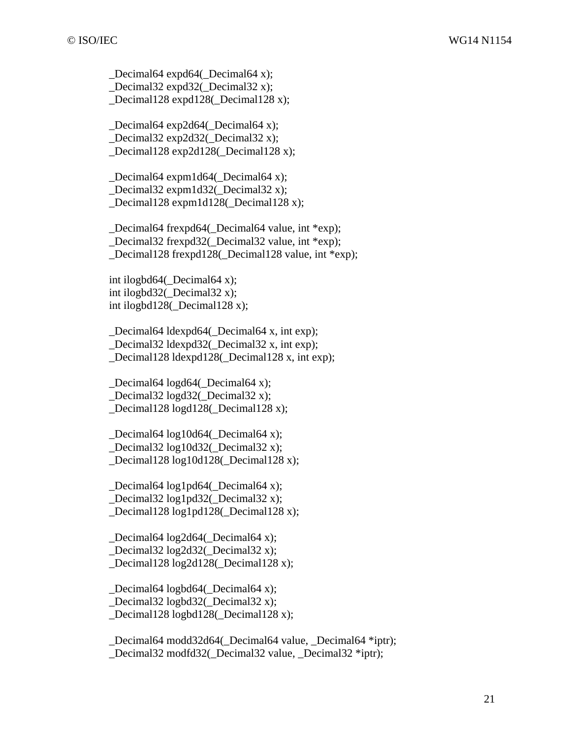\_Decimal64 expd64(\_Decimal64 x); \_Decimal32 expd32(\_Decimal32 x); \_Decimal128 expd128(\_Decimal128 x);

 \_Decimal64 exp2d64(\_Decimal64 x); \_Decimal32 exp2d32(\_Decimal32 x); Decimal128 exp2d128( Decimal128 x);

 \_Decimal64 expm1d64(\_Decimal64 x); \_Decimal32 expm1d32(\_Decimal32 x); \_Decimal128 expm1d128(\_Decimal128 x);

 \_Decimal64 frexpd64(\_Decimal64 value, int \*exp); \_Decimal32 frexpd32(\_Decimal32 value, int \*exp); \_Decimal128 frexpd128(\_Decimal128 value, int \*exp);

int ilogbd $64$ (Decimal $64$  x); int ilogbd32(\_Decimal32 x); int ilogbd128(\_Decimal128 x);

 \_Decimal64 ldexpd64(\_Decimal64 x, int exp); Decimal32 ldexpd32( Decimal32 x, int exp); \_Decimal128 ldexpd128(\_Decimal128 x, int exp);

 \_Decimal64 logd64(\_Decimal64 x); \_Decimal32 logd32(\_Decimal32 x); Decimal128 logd128( Decimal128 x);

 \_Decimal64 log10d64(\_Decimal64 x); Decimal32  $log10d32$  Decimal32 x); \_Decimal128 log10d128(\_Decimal128 x);

 \_Decimal64 log1pd64(\_Decimal64 x); Decimal32  $log1p d32$  Decimal32 x); Decimal128  $log1p d128$  Decimal128 x);

 \_Decimal64 log2d64(\_Decimal64 x); Decimal32  $log2d32$  (Decimal32 x); Decimal128  $log2d128$  Decimal128 x);

 \_Decimal64 logbd64(\_Decimal64 x); Decimal32 logbd32( $\Delta$ Decimal32 x); \_Decimal128 logbd128(\_Decimal128 x);

 \_Decimal64 modd32d64(\_Decimal64 value, \_Decimal64 \*iptr); \_Decimal32 modfd32(\_Decimal32 value, \_Decimal32 \*iptr);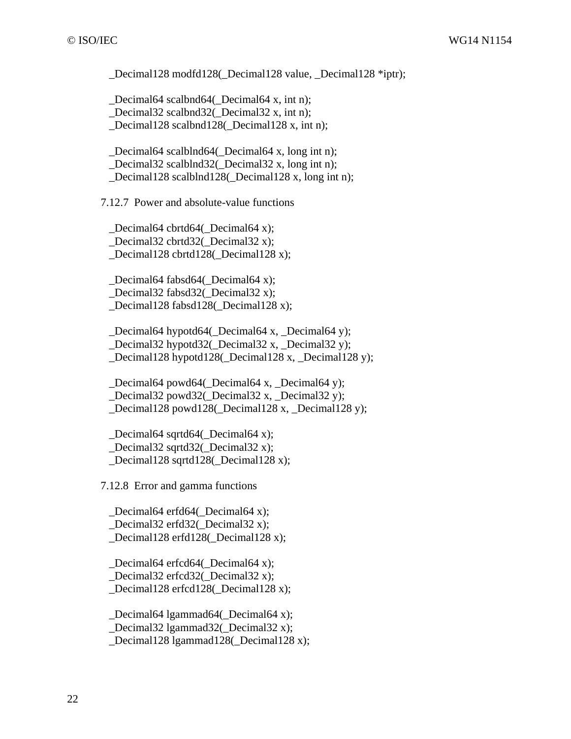\_Decimal128 modfd128(\_Decimal128 value, \_Decimal128 \*iptr);

 \_Decimal64 scalbnd64(\_Decimal64 x, int n); \_Decimal32 scalbnd32(\_Decimal32 x, int n); Decimal128 scalbnd128(Decimal128 x, int n);

 \_Decimal64 scalblnd64(\_Decimal64 x, long int n); \_Decimal32 scalblnd32(\_Decimal32 x, long int n); Decimal128 scalblnd128( Decimal128 x, long int n);

7.12.7 Power and absolute-value functions

 \_Decimal64 cbrtd64(\_Decimal64 x); \_Decimal32 cbrtd32(\_Decimal32 x); \_Decimal128 cbrtd128(\_Decimal128 x);

 \_Decimal64 fabsd64(\_Decimal64 x); \_Decimal32 fabsd32(\_Decimal32 x); \_Decimal128 fabsd128(\_Decimal128 x);

 \_Decimal64 hypotd64(\_Decimal64 x, \_Decimal64 y); Decimal32 hypotd32( Decimal32 x, Decimal32 y); \_Decimal128 hypotd128(\_Decimal128 x, \_Decimal128 y);

 \_Decimal64 powd64(\_Decimal64 x, \_Decimal64 y); \_Decimal32 powd32(\_Decimal32 x, \_Decimal32 y); Decimal128 powd128( Decimal128 x, Decimal128 y);

 \_Decimal64 sqrtd64(\_Decimal64 x); Decimal32 sqrtd32( Decimal32 x); \_Decimal128 sqrtd128(\_Decimal128 x);

7.12.8 Error and gamma functions

 \_Decimal64 erfd64(\_Decimal64 x); Decimal32 erfd32( Decimal32 x); Decimal128 erfd128( Decimal128 x);

Decimal64 erfcd64( Decimal64 x); \_Decimal32 erfcd32(\_Decimal32 x);

\_Decimal128 erfcd128(\_Decimal128 x);

 \_Decimal64 lgammad64(\_Decimal64 x); Decimal32 lgammad32( Decimal32 x): Decimal128 lgammad128( Decimal128 x);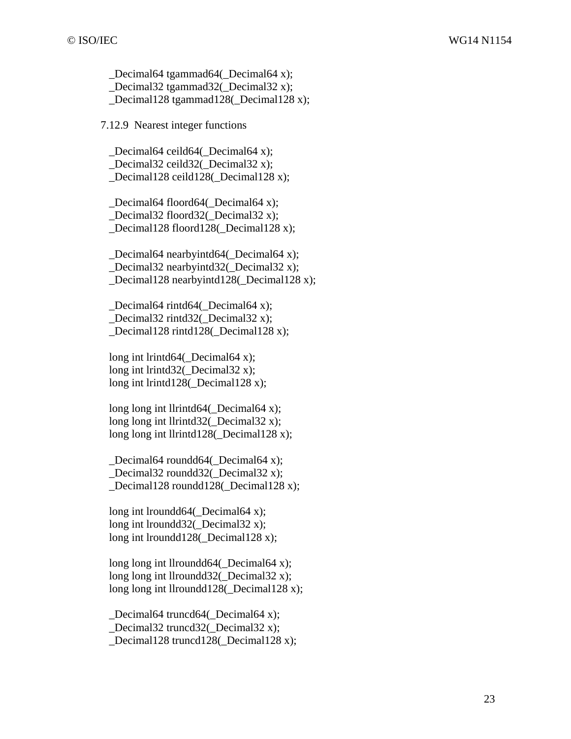\_Decimal64 tgammad64(\_Decimal64 x); \_Decimal32 tgammad32(\_Decimal32 x); \_Decimal128 tgammad128(\_Decimal128 x);

7.12.9 Nearest integer functions

Decimal64 ceild64( Decimal64 x); \_Decimal32 ceild32(\_Decimal32 x); Decimal128 ceild128( Decimal128 x);

 \_Decimal64 floord64(\_Decimal64 x); \_Decimal32 floord32(\_Decimal32 x); \_Decimal128 floord128(\_Decimal128 x);

 \_Decimal64 nearbyintd64(\_Decimal64 x); \_Decimal32 nearbyintd32(\_Decimal32 x); Decimal128 nearbyintd128( Decimal128 x);

 \_Decimal64 rintd64(\_Decimal64 x); \_Decimal32 rintd32(\_Decimal32 x); \_Decimal128 rintd128(\_Decimal128 x);

long int lrintd64(\_Decimal64 x); long int lrintd32( Decimal32 x); long int lrintd128(\_Decimal128 x);

long long int llrintd $64$ ( Decimal $64$  x); long long int llrintd $32$ ( Decimal $32$  x); long long int llrintd128( Decimal128 x);

 \_Decimal64 roundd64(\_Decimal64 x); \_Decimal32 roundd32(\_Decimal32 x); \_Decimal128 roundd128(\_Decimal128 x);

long int lroundd64( Decimal64 x); long int lroundd32( Decimal32 x); long int lroundd128( Decimal128 x);

long long int llroundd $64$ (Decimal $64$  x); long long int llroundd $32$ ( Decimal $32$  x); long long int llroundd128(\_Decimal128 x);

 \_Decimal64 truncd64(\_Decimal64 x); Decimal32 truncd32( Decimal32 x); \_Decimal128 truncd128(\_Decimal128 x);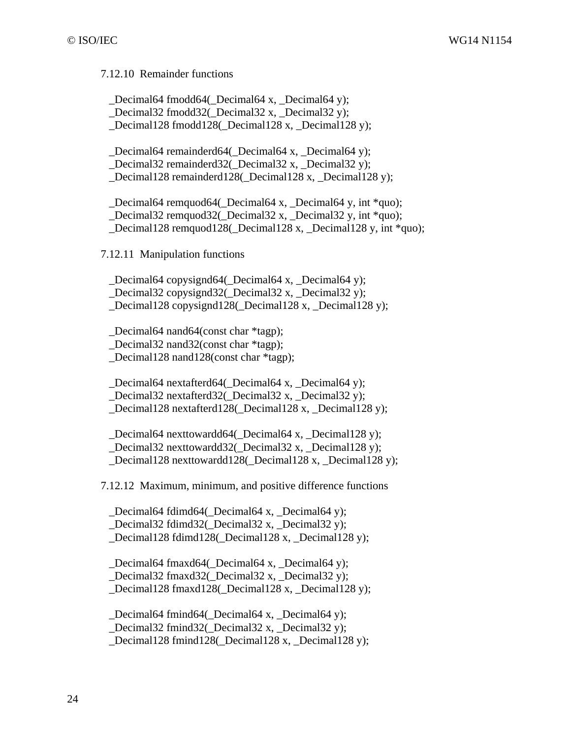7.12.10 Remainder functions

 \_Decimal64 fmodd64(\_Decimal64 x, \_Decimal64 y); Decimal32 fmodd32( Decimal32 x, Decimal32 y); Decimal128 fmodd128( Decimal128 x, Decimal128 y);

 \_Decimal64 remainderd64(\_Decimal64 x, \_Decimal64 y); \_Decimal32 remainderd32(\_Decimal32 x, \_Decimal32 y); Decimal128 remainderd128( Decimal128 x, Decimal128 y);

 \_Decimal64 remquod64(\_Decimal64 x, \_Decimal64 y, int \*quo); \_Decimal32 remquod32(\_Decimal32 x, \_Decimal32 y, int \*quo); \_Decimal128 remquod128(\_Decimal128 x, \_Decimal128 y, int \*quo);

7.12.11 Manipulation functions

Decimal64 copysignd64( Decimal64 x, Decimal64 y); \_Decimal32 copysignd32(\_Decimal32 x, \_Decimal32 y); \_Decimal128 copysignd128(\_Decimal128 x, \_Decimal128 y);

\_Decimal64 nand64(const char \*tagp);

\_Decimal32 nand32(const char \*tagp);

\_Decimal128 nand128(const char \*tagp);

 \_Decimal64 nextafterd64(\_Decimal64 x, \_Decimal64 y); \_Decimal32 nextafterd32(\_Decimal32 x, \_Decimal32 y); Decimal128 nextafterd128( Decimal128 x, Decimal128 y);

 \_Decimal64 nexttowardd64(\_Decimal64 x, \_Decimal128 y); Decimal32 nexttowardd32( Decimal32 x, Decimal128 y); \_Decimal128 nexttowardd128(\_Decimal128 x, \_Decimal128 y);

7.12.12 Maximum, minimum, and positive difference functions

 \_Decimal64 fdimd64(\_Decimal64 x, \_Decimal64 y); Decimal32 fdimd32( Decimal32 x, Decimal32 y); Decimal128 fdimd128( Decimal128 x, Decimal128 y);

Decimal64 fmaxd64( Decimal64 x, Decimal64 y); \_Decimal32 fmaxd32(\_Decimal32 x, \_Decimal32 y); \_Decimal128 fmaxd128(\_Decimal128 x, \_Decimal128 y);

 \_Decimal64 fmind64(\_Decimal64 x, \_Decimal64 y); Decimal32 fmind32( Decimal32 x, Decimal32 y); \_Decimal128 fmind128(\_Decimal128 x, \_Decimal128 y);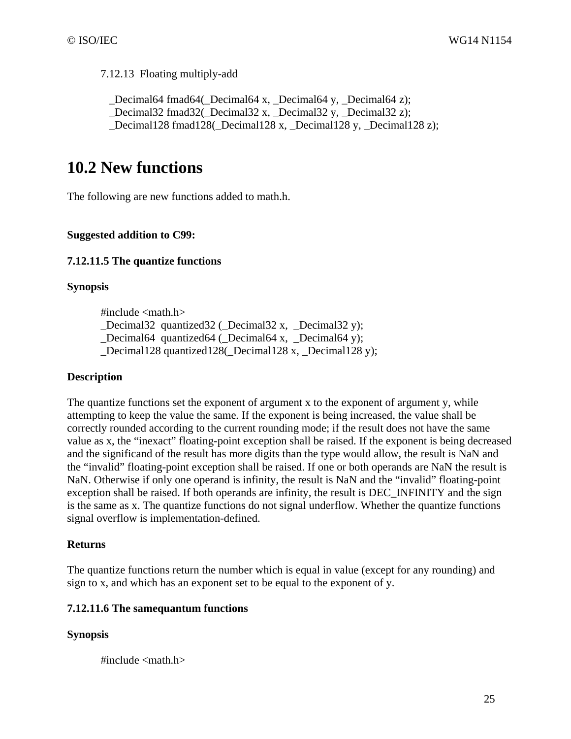7.12.13 Floating multiply-add

 \_Decimal64 fmad64(\_Decimal64 x, \_Decimal64 y, \_Decimal64 z); Decimal32 fmad32( Decimal32 x, Decimal32 y, Decimal32 z); \_Decimal128 fmad128(\_Decimal128 x, \_Decimal128 y, \_Decimal128 z);

### **10.2 New functions**

The following are new functions added to math.h.

#### **Suggested addition to C99:**

#### **7.12.11.5 The quantize functions**

#### **Synopsis**

 $\#$ include  $\langle$ math.h $>$ 

Decimal32 quantized32 ( $\Delta$ Decimal32 x, Decimal32 y);

\_Decimal64 quantized64 (\_Decimal64 x, \_Decimal64 y);

Decimal128 quantized128( Decimal128 x, Decimal128 y);

#### **Description**

The quantize functions set the exponent of argument x to the exponent of argument y, while attempting to keep the value the same*.* If the exponent is being increased, the value shall be correctly rounded according to the current rounding mode; if the result does not have the same value as x, the "inexact" floating-point exception shall be raised. If the exponent is being decreased and the significand of the result has more digits than the type would allow, the result is NaN and the "invalid" floating-point exception shall be raised. If one or both operands are NaN the result is NaN. Otherwise if only one operand is infinity, the result is NaN and the "invalid" floating-point exception shall be raised. If both operands are infinity, the result is DEC\_INFINITY and the sign is the same as x. The quantize functions do not signal underflow. Whether the quantize functions signal overflow is implementation-defined.

#### **Returns**

The quantize functions return the number which is equal in value (except for any rounding) and sign to x, and which has an exponent set to be equal to the exponent of y.

#### **7.12.11.6 The samequantum functions**

#### **Synopsis**

#include  $\langle$  math.h $>$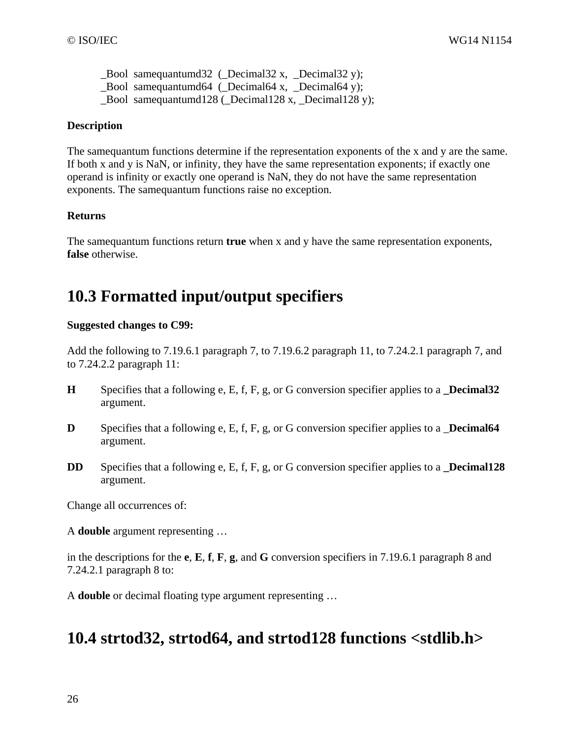\_Bool samequantumd32 (\_Decimal32 x, \_Decimal32 y); \_Bool samequantumd64 (\_Decimal64 x, \_Decimal64 y); \_Bool samequantumd128 (\_Decimal128 x, \_Decimal128 y);

#### **Description**

The samequantum functions determine if the representation exponents of the x and y are the same. If both x and y is NaN, or infinity, they have the same representation exponents; if exactly one operand is infinity or exactly one operand is NaN, they do not have the same representation exponents. The samequantum functions raise no exception.

#### **Returns**

The samequantum functions return **true** when x and y have the same representation exponents, **false** otherwise.

### **10.3 Formatted input/output specifiers**

#### **Suggested changes to C99:**

Add the following to 7.19.6.1 paragraph 7, to 7.19.6.2 paragraph 11, to 7.24.2.1 paragraph 7, and to 7.24.2.2 paragraph 11:

- **H** Specifies that a following e, E, f, F, g, or G conversion specifier applies to a **\_Decimal32** argument.
- **D** Specifies that a following e, E, f, F, g, or G conversion specifier applies to a **Decimal64** argument.
- **DD** Specifies that a following e, E, f, F, g, or G conversion specifier applies to a **\_Decimal128** argument.

Change all occurrences of:

A **double** argument representing …

in the descriptions for the **e**, **E**, **f**, **F**, **g**, and **G** conversion specifiers in 7.19.6.1 paragraph 8 and 7.24.2.1 paragraph 8 to:

A **double** or decimal floating type argument representing …

### **10.4 strtod32, strtod64, and strtod128 functions <stdlib.h>**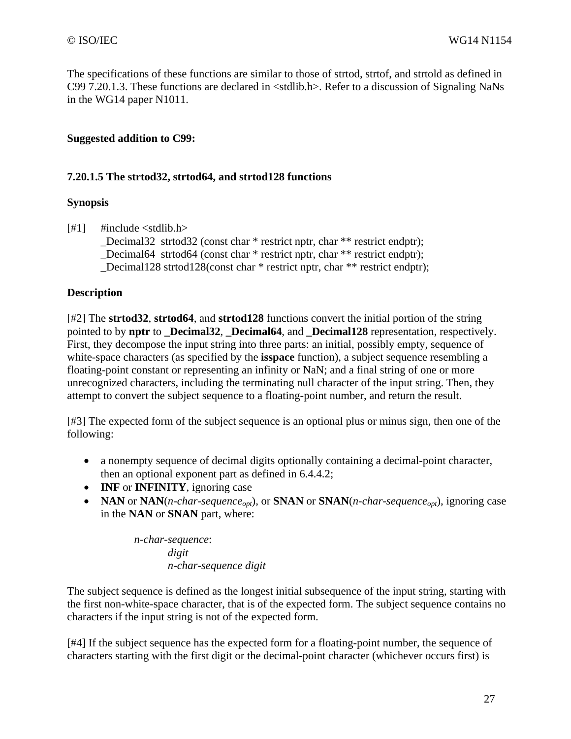The specifications of these functions are similar to those of strtod, strtof, and strtold as defined in C99 7.20.1.3. These functions are declared in <stdlib.h>. Refer to a discussion of Signaling NaNs in the WG14 paper N1011.

#### **Suggested addition to C99:**

#### **7.20.1.5 The strtod32, strtod64, and strtod128 functions**

#### **Synopsis**

 $[#1]$  #include <stdlib.h> \_Decimal32 strtod32 (const char \* restrict nptr, char \*\* restrict endptr); Decimal64 strtod64 (const char \* restrict nptr, char \*\* restrict endptr); \_Decimal128 strtod128(const char \* restrict nptr, char \*\* restrict endptr);

#### **Description**

[#2] The **strtod32**, **strtod64**, and **strtod128** functions convert the initial portion of the string pointed to by **nptr** to **\_Decimal32**, **\_Decimal64**, and **\_Decimal128** representation, respectively. First, they decompose the input string into three parts: an initial, possibly empty, sequence of white-space characters (as specified by the **isspace** function), a subject sequence resembling a floating-point constant or representing an infinity or NaN; and a final string of one or more unrecognized characters, including the terminating null character of the input string. Then, they attempt to convert the subject sequence to a floating-point number, and return the result.

[#3] The expected form of the subject sequence is an optional plus or minus sign, then one of the following:

- a nonempty sequence of decimal digits optionally containing a decimal-point character, then an optional exponent part as defined in 6.4.4.2;
- **INF** or **INFINITY**, ignoring case
- **NAN** or **NAN**(*n-char-sequence<sub>opt</sub>*), or **SNAN** or **SNAN**(*n-char-sequence<sub>opt</sub>)*, ignoring case in the **NAN** or **SNAN** part, where:

*n-char-sequence*: *digit n-char-sequence digit* 

The subject sequence is defined as the longest initial subsequence of the input string, starting with the first non-white-space character, that is of the expected form. The subject sequence contains no characters if the input string is not of the expected form.

[#4] If the subject sequence has the expected form for a floating-point number, the sequence of characters starting with the first digit or the decimal-point character (whichever occurs first) is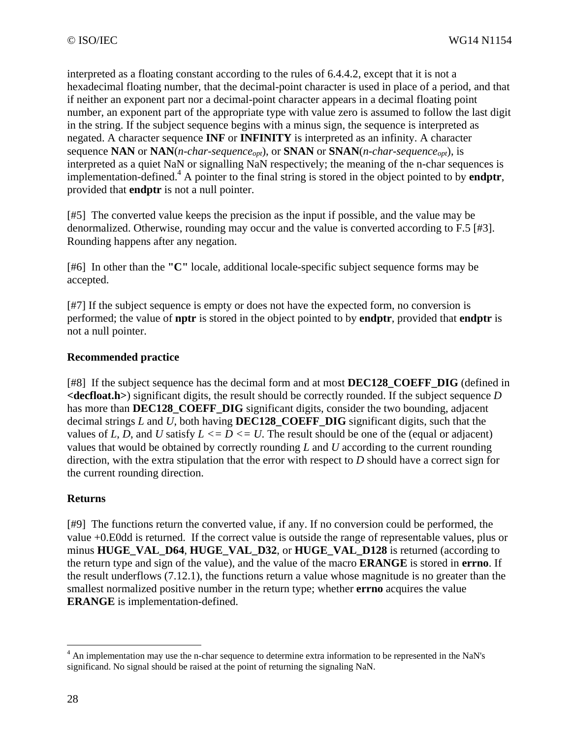interpreted as a floating constant according to the rules of 6.4.4.2, except that it is not a hexadecimal floating number, that the decimal-point character is used in place of a period, and that if neither an exponent part nor a decimal-point character appears in a decimal floating point number, an exponent part of the appropriate type with value zero is assumed to follow the last digit in the string. If the subject sequence begins with a minus sign, the sequence is interpreted as negated. A character sequence **INF** or **INFINITY** is interpreted as an infinity. A character sequence **NAN** or **NAN**(*n-char-sequence<sub>opt</sub>*), or **SNAN** or **SNAN**(*n-char-sequence<sub>opt</sub>)*, is interpreted as a quiet NaN or signalling NaN respectively; the meaning of the n-char sequences is implementation-defined.4 A pointer to the final string is stored in the object pointed to by **endptr**, provided that **endptr** is not a null pointer.

[#5] The converted value keeps the precision as the input if possible, and the value may be denormalized. Otherwise, rounding may occur and the value is converted according to F.5 [#3]. Rounding happens after any negation.

[#6] In other than the **"C"** locale, additional locale-specific subject sequence forms may be accepted.

[#7] If the subject sequence is empty or does not have the expected form, no conversion is performed; the value of **nptr** is stored in the object pointed to by **endptr**, provided that **endptr** is not a null pointer.

#### **Recommended practice**

[#8] If the subject sequence has the decimal form and at most **DEC128\_COEFF\_DIG** (defined in **<decfloat.h>**) significant digits, the result should be correctly rounded. If the subject sequence *D* has more than **DEC128** COEFF DIG significant digits, consider the two bounding, adjacent decimal strings *L* and *U*, both having **DEC128\_COEFF\_DIG** significant digits, such that the values of *L*, *D*, and *U* satisfy  $L \leq D \leq U$ . The result should be one of the (equal or adjacent) values that would be obtained by correctly rounding *L* and *U* according to the current rounding direction, with the extra stipulation that the error with respect to *D* should have a correct sign for the current rounding direction.

#### **Returns**

[#9] The functions return the converted value, if any. If no conversion could be performed, the value +0.E0dd is returned. If the correct value is outside the range of representable values, plus or minus **HUGE\_VAL\_D64**, **HUGE\_VAL\_D32**, or **HUGE\_VAL\_D128** is returned (according to the return type and sign of the value), and the value of the macro **ERANGE** is stored in **errno**. If the result underflows (7.12.1), the functions return a value whose magnitude is no greater than the smallest normalized positive number in the return type; whether **errno** acquires the value **ERANGE** is implementation-defined.

<sup>&</sup>lt;sup>4</sup> An implementation may use the n-char sequence to determine extra information to be represented in the NaN's significand. No signal should be raised at the point of returning the signaling NaN.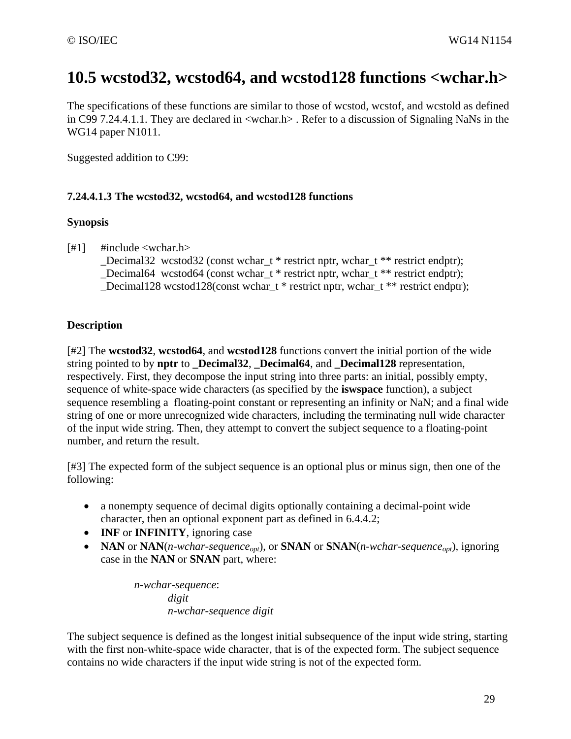### **10.5 wcstod32, wcstod64, and wcstod128 functions <wchar.h>**

The specifications of these functions are similar to those of wcstod, wcstof, and wcstold as defined in C99 7.24.4.1.1. They are declared in <wchar.h> . Refer to a discussion of Signaling NaNs in the WG14 paper N1011.

Suggested addition to C99:

#### **7.24.4.1.3 The wcstod32, wcstod64, and wcstod128 functions**

#### **Synopsis**

[#1] #include <wchar.h>

\_Decimal32 wcstod32 (const wchar\_t \* restrict nptr, wchar\_t \*\* restrict endptr); Decimal64 wcstod64 (const wchar  $t *$  restrict nptr, wchar  $t * *$  restrict endptr); \_Decimal128 wcstod128(const wchar\_t \* restrict nptr, wchar\_t \*\* restrict endptr);

#### **Description**

[#2] The **wcstod32**, **wcstod64**, and **wcstod128** functions convert the initial portion of the wide string pointed to by **nptr** to **Decimal32**, **Decimal64**, and **Decimal128** representation, respectively. First, they decompose the input string into three parts: an initial, possibly empty, sequence of white-space wide characters (as specified by the **iswspace** function), a subject sequence resembling a floating-point constant or representing an infinity or NaN; and a final wide string of one or more unrecognized wide characters, including the terminating null wide character of the input wide string. Then, they attempt to convert the subject sequence to a floating-point number, and return the result.

[#3] The expected form of the subject sequence is an optional plus or minus sign, then one of the following:

- a nonempty sequence of decimal digits optionally containing a decimal-point wide character, then an optional exponent part as defined in 6.4.4.2;
- **INF** or **INFINITY**, ignoring case
- **NAN** or **NAN**(*n-wchar-sequence<sub>opt</sub>)*, or **SNAN** or **SNAN**(*n-wchar-sequence<sub>opt</sub>)*, ignoring case in the **NAN** or **SNAN** part, where:

*n-wchar-sequence*: *digit n-wchar-sequence digit* 

The subject sequence is defined as the longest initial subsequence of the input wide string, starting with the first non-white-space wide character, that is of the expected form. The subject sequence contains no wide characters if the input wide string is not of the expected form.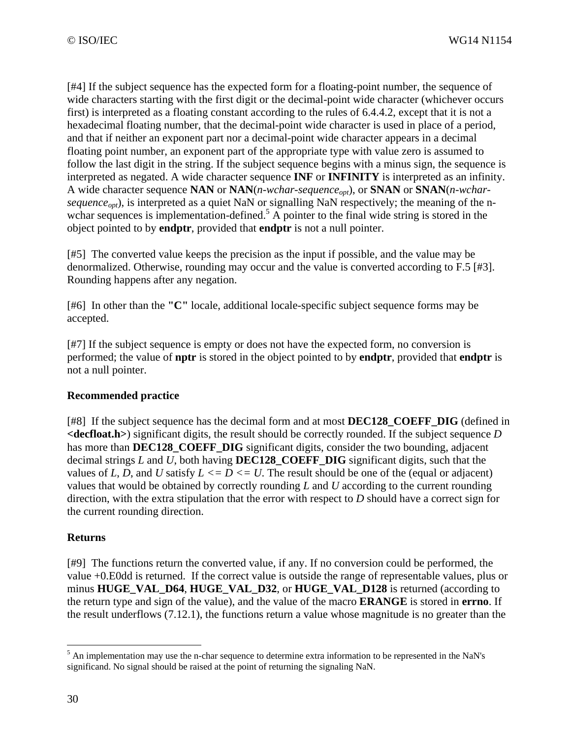[#4] If the subject sequence has the expected form for a floating-point number, the sequence of wide characters starting with the first digit or the decimal-point wide character (whichever occurs first) is interpreted as a floating constant according to the rules of 6.4.4.2, except that it is not a hexadecimal floating number, that the decimal-point wide character is used in place of a period, and that if neither an exponent part nor a decimal-point wide character appears in a decimal floating point number, an exponent part of the appropriate type with value zero is assumed to follow the last digit in the string. If the subject sequence begins with a minus sign, the sequence is interpreted as negated. A wide character sequence **INF** or **INFINITY** is interpreted as an infinity. A wide character sequence **NAN** or **NAN**(*n-wchar-sequence<sub>opt</sub>)*, or **SNAN** or **SNAN**(*n-wchar*sequence<sub>opt</sub>), is interpreted as a quiet NaN or signalling NaN respectively; the meaning of the nwchar sequences is implementation-defined.<sup>5</sup> A pointer to the final wide string is stored in the object pointed to by **endptr**, provided that **endptr** is not a null pointer.

[#5] The converted value keeps the precision as the input if possible, and the value may be denormalized. Otherwise, rounding may occur and the value is converted according to F.5 [#3]. Rounding happens after any negation.

[#6] In other than the **"C"** locale, additional locale-specific subject sequence forms may be accepted.

[#7] If the subject sequence is empty or does not have the expected form, no conversion is performed; the value of **nptr** is stored in the object pointed to by **endptr**, provided that **endptr** is not a null pointer.

#### **Recommended practice**

[#8] If the subject sequence has the decimal form and at most **DEC128\_COEFF\_DIG** (defined in **<decfloat.h>**) significant digits, the result should be correctly rounded. If the subject sequence *D* has more than **DEC128** COEFF DIG significant digits, consider the two bounding, adjacent decimal strings *L* and *U*, both having **DEC128\_COEFF\_DIG** significant digits, such that the values of *L*, *D*, and *U* satisfy  $L \leq D \leq U$ . The result should be one of the (equal or adjacent) values that would be obtained by correctly rounding *L* and *U* according to the current rounding direction, with the extra stipulation that the error with respect to *D* should have a correct sign for the current rounding direction.

#### **Returns**

[#9] The functions return the converted value, if any. If no conversion could be performed, the value +0.E0dd is returned. If the correct value is outside the range of representable values, plus or minus **HUGE\_VAL\_D64**, **HUGE\_VAL\_D32**, or **HUGE\_VAL\_D128** is returned (according to the return type and sign of the value), and the value of the macro **ERANGE** is stored in **errno**. If the result underflows (7.12.1), the functions return a value whose magnitude is no greater than the

<sup>&</sup>lt;sup>5</sup> An implementation may use the n-char sequence to determine extra information to be represented in the NaN's significand. No signal should be raised at the point of returning the signaling NaN.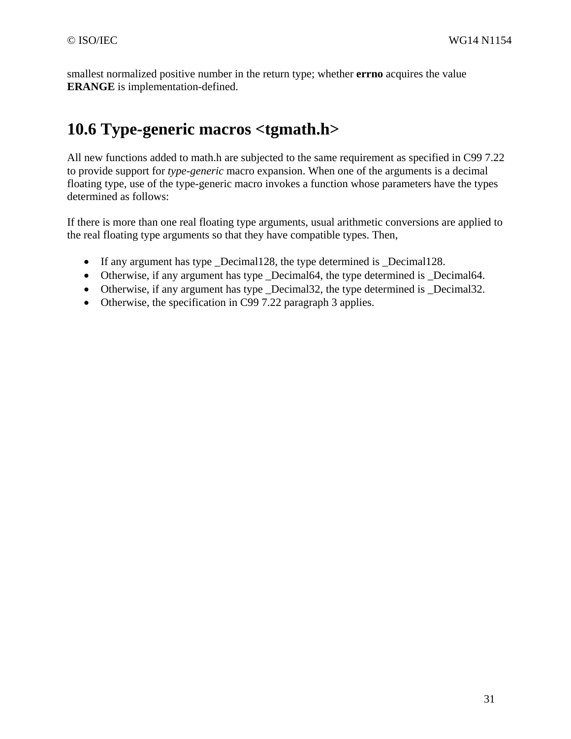smallest normalized positive number in the return type; whether **errno** acquires the value **ERANGE** is implementation-defined.

### **10.6 Type-generic macros <tgmath.h>**

All new functions added to math.h are subjected to the same requirement as specified in C99 7.22 to provide support for *type-generic* macro expansion. When one of the arguments is a decimal floating type, use of the type-generic macro invokes a function whose parameters have the types determined as follows:

If there is more than one real floating type arguments, usual arithmetic conversions are applied to the real floating type arguments so that they have compatible types. Then,

- If any argument has type \_Decimal128, the type determined is \_Decimal128.
- Otherwise, if any argument has type Decimal64, the type determined is Decimal64.
- Otherwise, if any argument has type \_Decimal32, the type determined is \_Decimal32.
- Otherwise, the specification in C99 7.22 paragraph 3 applies.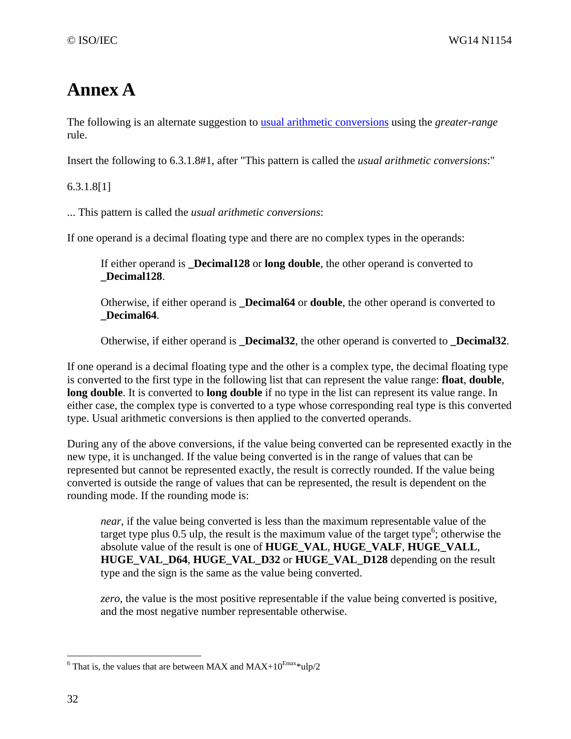# **Annex A**

The following is an alternate suggestion to usual arithmetic conversions using the *greater-range* rule.

Insert the following to 6.3.1.8#1, after "This pattern is called the *usual arithmetic conversions*:"

6.3.1.8[1]

... This pattern is called the *usual arithmetic conversions*:

If one operand is a decimal floating type and there are no complex types in the operands:

If either operand is **\_Decimal128** or **long double**, the other operand is converted to **\_Decimal128**.

Otherwise, if either operand is **\_Decimal64** or **double**, the other operand is converted to **\_Decimal64**.

Otherwise, if either operand is **\_Decimal32**, the other operand is converted to **\_Decimal32**.

If one operand is a decimal floating type and the other is a complex type, the decimal floating type is converted to the first type in the following list that can represent the value range: **float**, **double**, **long double**. It is converted to **long double** if no type in the list can represent its value range. In either case, the complex type is converted to a type whose corresponding real type is this converted type. Usual arithmetic conversions is then applied to the converted operands.

During any of the above conversions, if the value being converted can be represented exactly in the new type, it is unchanged. If the value being converted is in the range of values that can be represented but cannot be represented exactly, the result is correctly rounded. If the value being converted is outside the range of values that can be represented, the result is dependent on the rounding mode. If the rounding mode is:

*near*, if the value being converted is less than the maximum representable value of the target type plus  $0.5$  ulp, the result is the maximum value of the target type<sup>6</sup>; otherwise the absolute value of the result is one of **HUGE\_VAL**, **HUGE\_VALF**, **HUGE\_VALL**, **HUGE\_VAL\_D64**, **HUGE\_VAL\_D32** or **HUGE\_VAL\_D128** depending on the result type and the sign is the same as the value being converted.

*zero*, the value is the most positive representable if the value being converted is positive, and the most negative number representable otherwise.

 $\overline{a}$ 

<sup>&</sup>lt;sup>6</sup> That is, the values that are between MAX and MAX+10<sup>Emax\*</sup>ulp/2